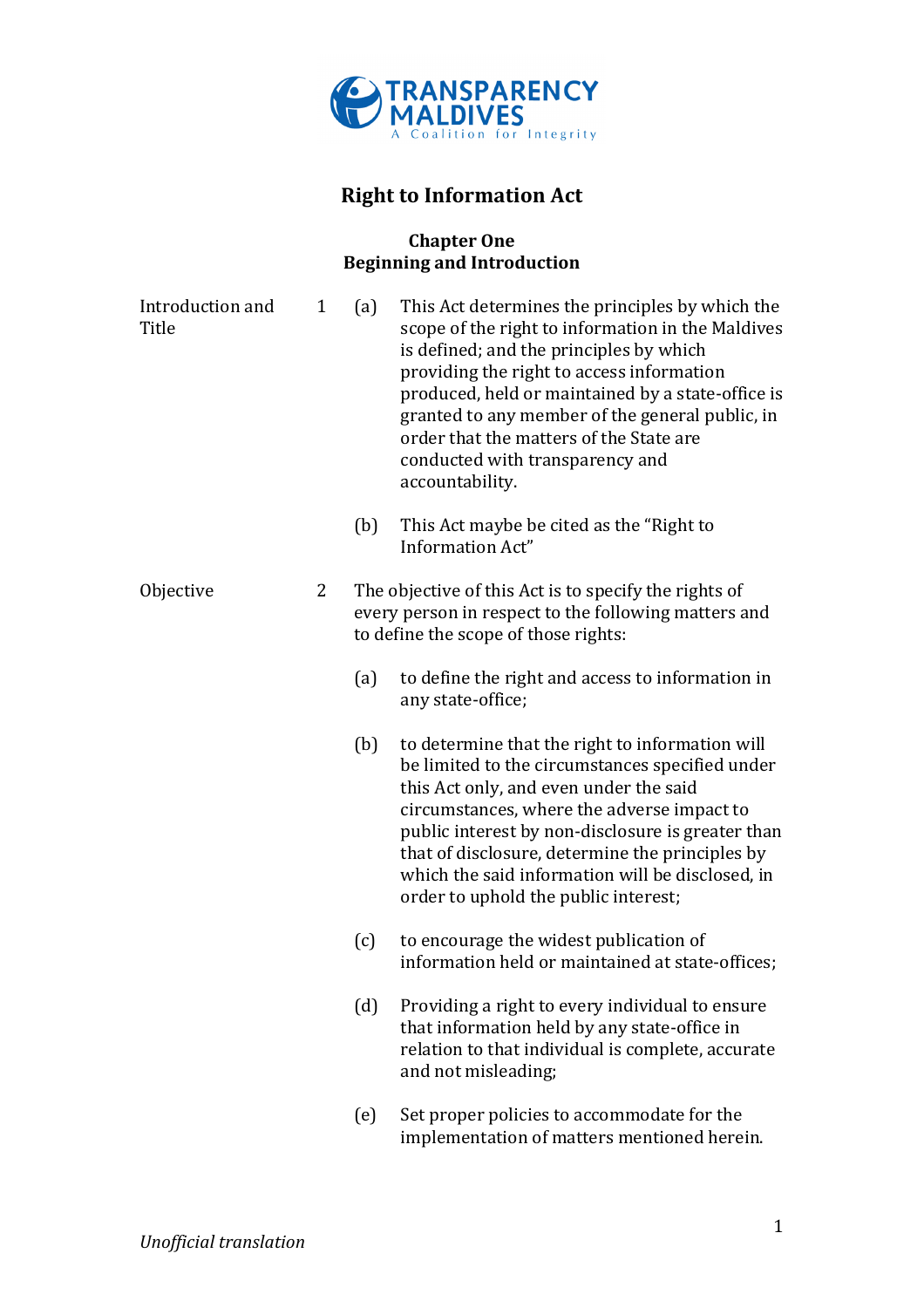

# **Right to Information Act**

### **Chapter One Beginning and Introduction**

| Introduction and<br>Title | $\mathbf{1}$ | (a) | This Act determines the principles by which the<br>scope of the right to information in the Maldives<br>is defined; and the principles by which<br>providing the right to access information<br>produced, held or maintained by a state-office is<br>granted to any member of the general public, in<br>order that the matters of the State are<br>conducted with transparency and<br>accountability. |
|---------------------------|--------------|-----|-------------------------------------------------------------------------------------------------------------------------------------------------------------------------------------------------------------------------------------------------------------------------------------------------------------------------------------------------------------------------------------------------------|
|                           |              | (b) | This Act maybe be cited as the "Right to"<br>Information Act"                                                                                                                                                                                                                                                                                                                                         |
| Objective                 | 2            |     | The objective of this Act is to specify the rights of<br>every person in respect to the following matters and<br>to define the scope of those rights:                                                                                                                                                                                                                                                 |
|                           |              | (a) | to define the right and access to information in<br>any state-office;                                                                                                                                                                                                                                                                                                                                 |
|                           |              | (b) | to determine that the right to information will<br>be limited to the circumstances specified under<br>this Act only, and even under the said<br>circumstances, where the adverse impact to<br>public interest by non-disclosure is greater than<br>that of disclosure, determine the principles by<br>which the said information will be disclosed, in<br>order to uphold the public interest;        |
|                           |              | (c) | to encourage the widest publication of<br>information held or maintained at state-offices;                                                                                                                                                                                                                                                                                                            |
|                           |              | (d) | Providing a right to every individual to ensure<br>that information held by any state-office in<br>relation to that individual is complete, accurate<br>and not misleading;                                                                                                                                                                                                                           |
|                           |              | (e) | Set proper policies to accommodate for the<br>implementation of matters mentioned herein.                                                                                                                                                                                                                                                                                                             |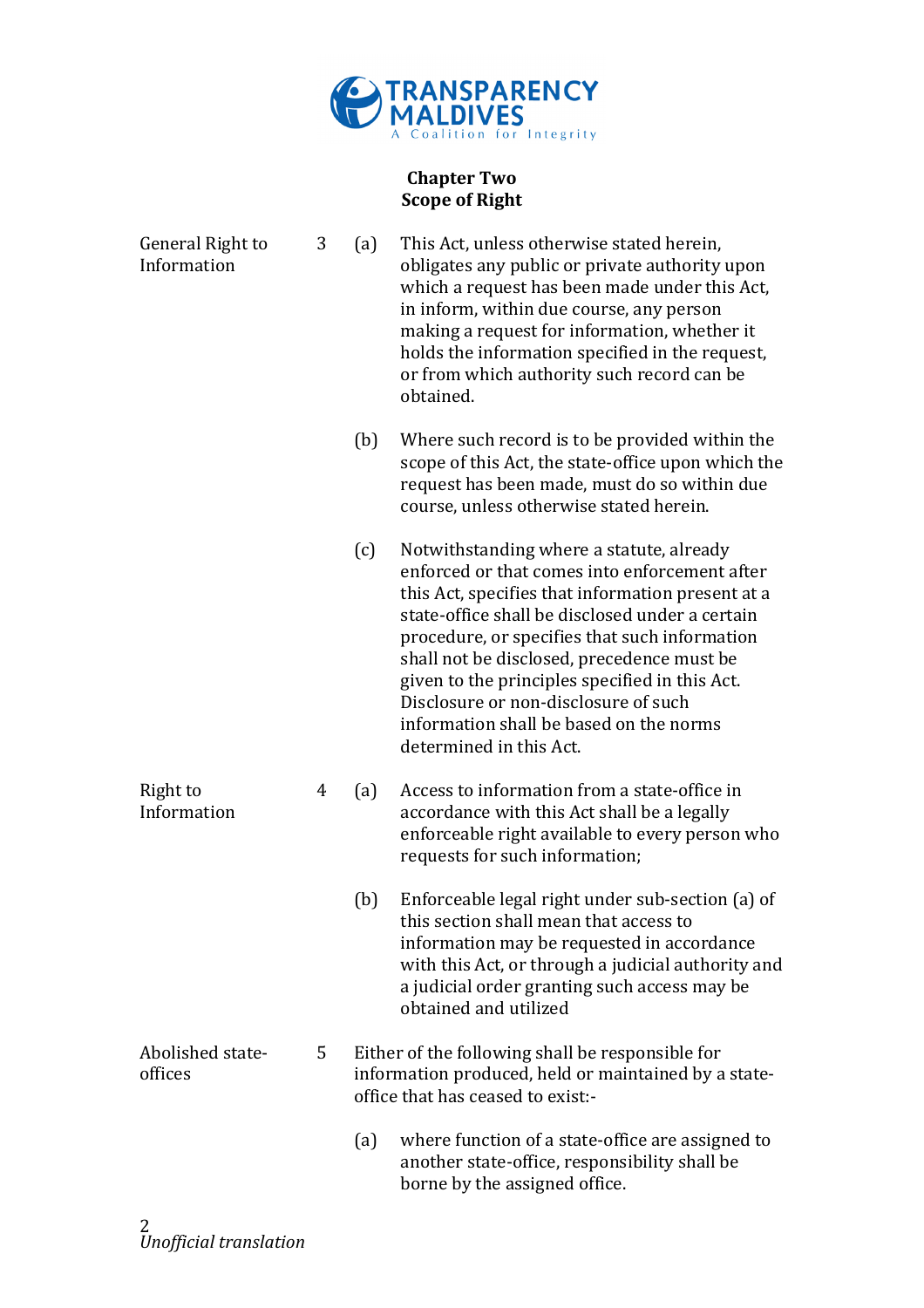

# **Chapter Two Scope of Right**

| General Right to<br>Information | 3 | (a) | This Act, unless otherwise stated herein,<br>obligates any public or private authority upon<br>which a request has been made under this Act,<br>in inform, within due course, any person<br>making a request for information, whether it<br>holds the information specified in the request,<br>or from which authority such record can be<br>obtained.                                                                                                           |
|---------------------------------|---|-----|------------------------------------------------------------------------------------------------------------------------------------------------------------------------------------------------------------------------------------------------------------------------------------------------------------------------------------------------------------------------------------------------------------------------------------------------------------------|
|                                 |   | (b) | Where such record is to be provided within the<br>scope of this Act, the state-office upon which the<br>request has been made, must do so within due<br>course, unless otherwise stated herein.                                                                                                                                                                                                                                                                  |
|                                 |   | (c) | Notwithstanding where a statute, already<br>enforced or that comes into enforcement after<br>this Act, specifies that information present at a<br>state-office shall be disclosed under a certain<br>procedure, or specifies that such information<br>shall not be disclosed, precedence must be<br>given to the principles specified in this Act.<br>Disclosure or non-disclosure of such<br>information shall be based on the norms<br>determined in this Act. |
| Right to<br>Information         | 4 | (a) | Access to information from a state-office in<br>accordance with this Act shall be a legally<br>enforceable right available to every person who<br>requests for such information;                                                                                                                                                                                                                                                                                 |
|                                 |   | (b) | Enforceable legal right under sub-section (a) of<br>this section shall mean that access to<br>information may be requested in accordance<br>with this Act, or through a judicial authority and<br>a judicial order granting such access may be<br>obtained and utilized                                                                                                                                                                                          |
| Abolished state-<br>offices     | 5 |     | Either of the following shall be responsible for<br>information produced, held or maintained by a state-<br>office that has ceased to exist:-                                                                                                                                                                                                                                                                                                                    |
|                                 |   | (a) | where function of a state-office are assigned to<br>another state-office, responsibility shall be<br>borne by the assigned office.                                                                                                                                                                                                                                                                                                                               |
|                                 |   |     |                                                                                                                                                                                                                                                                                                                                                                                                                                                                  |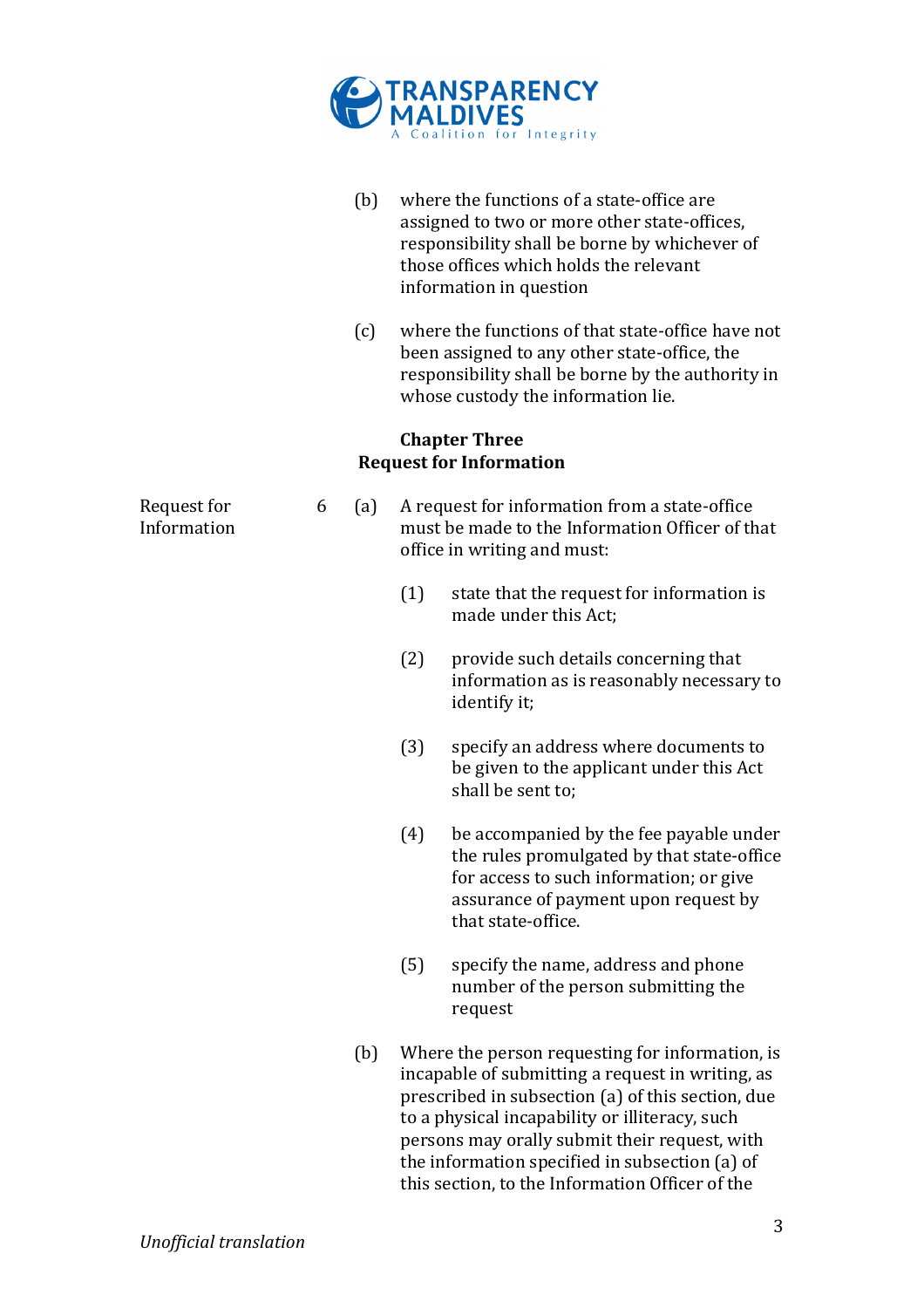

|                            |   | (b) |     | where the functions of a state-office are<br>assigned to two or more other state-offices,<br>responsibility shall be borne by whichever of<br>those offices which holds the relevant<br>information in question                                                                                                                                                  |
|----------------------------|---|-----|-----|------------------------------------------------------------------------------------------------------------------------------------------------------------------------------------------------------------------------------------------------------------------------------------------------------------------------------------------------------------------|
|                            |   | (c) |     | where the functions of that state-office have not<br>been assigned to any other state-office, the<br>responsibility shall be borne by the authority in<br>whose custody the information lie.                                                                                                                                                                     |
|                            |   |     |     | <b>Chapter Three</b><br><b>Request for Information</b>                                                                                                                                                                                                                                                                                                           |
| Request for<br>Information | 6 | (a) |     | A request for information from a state-office<br>must be made to the Information Officer of that<br>office in writing and must:                                                                                                                                                                                                                                  |
|                            |   |     | (1) | state that the request for information is<br>made under this Act;                                                                                                                                                                                                                                                                                                |
|                            |   |     | (2) | provide such details concerning that<br>information as is reasonably necessary to<br>identify it;                                                                                                                                                                                                                                                                |
|                            |   |     | (3) | specify an address where documents to<br>be given to the applicant under this Act<br>shall be sent to;                                                                                                                                                                                                                                                           |
|                            |   |     | (4) | be accompanied by the fee payable under<br>the rules promulgated by that state-office<br>for access to such information; or give<br>assurance of payment upon request by<br>that state-office.                                                                                                                                                                   |
|                            |   |     | (5) | specify the name, address and phone<br>number of the person submitting the<br>request                                                                                                                                                                                                                                                                            |
|                            |   | (b) |     | Where the person requesting for information, is<br>incapable of submitting a request in writing, as<br>prescribed in subsection (a) of this section, due<br>to a physical incapability or illiteracy, such<br>persons may orally submit their request, with<br>the information specified in subsection (a) of<br>this section, to the Information Officer of the |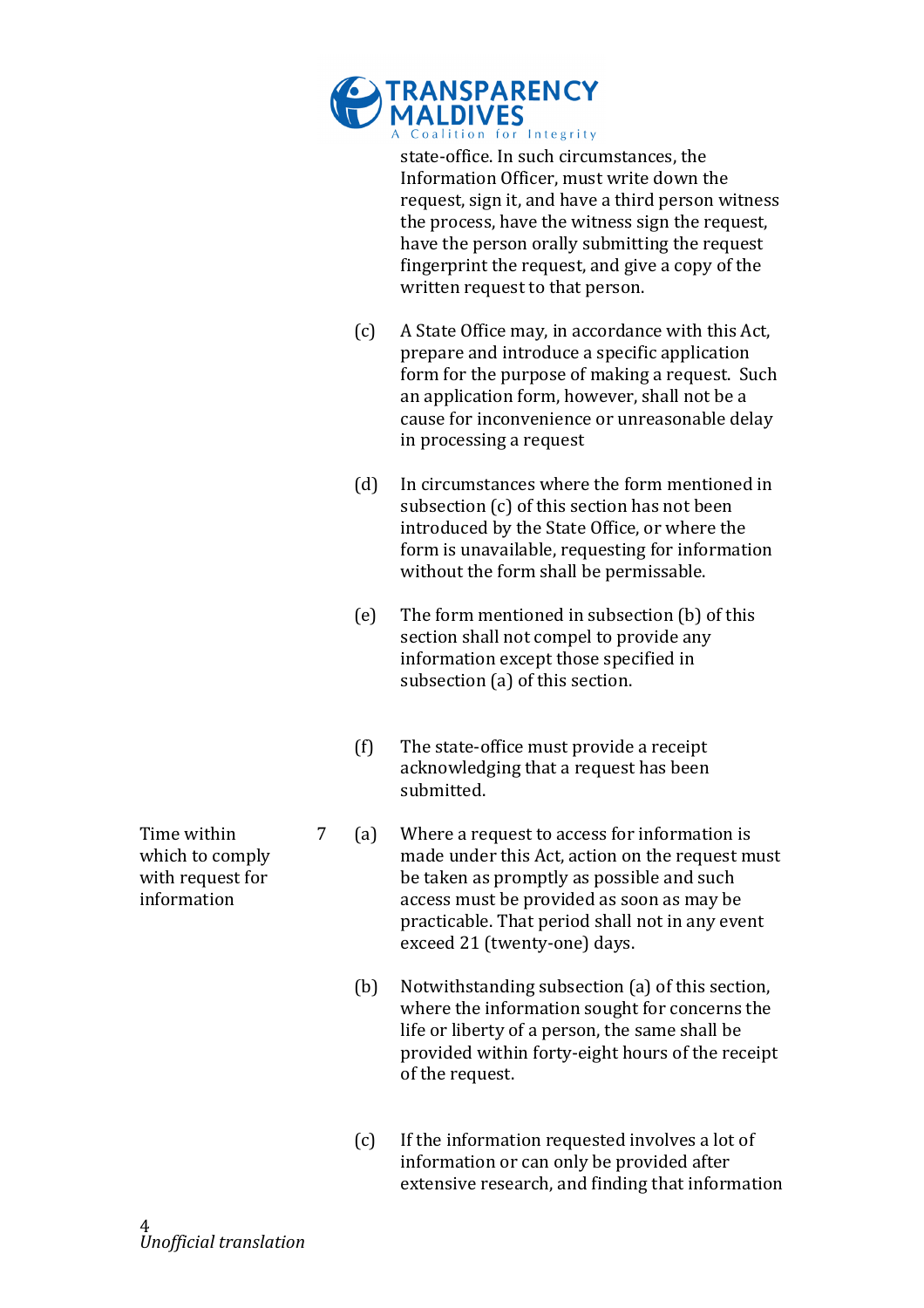

state-office. In such circumstances, the Information Officer, must write down the request, sign it, and have a third person witness the process, have the witness sign the request, have the person orally submitting the request fingerprint the request, and give a copy of the written request to that person.

- $(c)$  A State Office may, in accordance with this Act, prepare and introduce a specific application form for the purpose of making a request. Such an application form, however, shall not be a cause for inconvenience or unreasonable delay in processing a request
- $(d)$  In circumstances where the form mentioned in subsection (c) of this section has not been introduced by the State Office, or where the form is unavailable, requesting for information without the form shall be permissable.
- (e) The form mentioned in subsection  $(b)$  of this section shall not compel to provide any information except those specified in subsection (a) of this section.
- $(f)$  The state-office must provide a receipt acknowledging that a request has been submitted.
- 7 (a) Where a request to access for information is made under this Act, action on the request must be taken as promptly as possible and such access must be provided as soon as may be practicable. That period shall not in any event exceed 21 (twenty-one) days.
	- (b) Notwithstanding subsection (a) of this section, where the information sought for concerns the life or liberty of a person, the same shall be provided within forty-eight hours of the receipt of the request.
	- $(c)$  If the information requested involves a lot of information or can only be provided after extensive research, and finding that information

Time within which to comply with request for information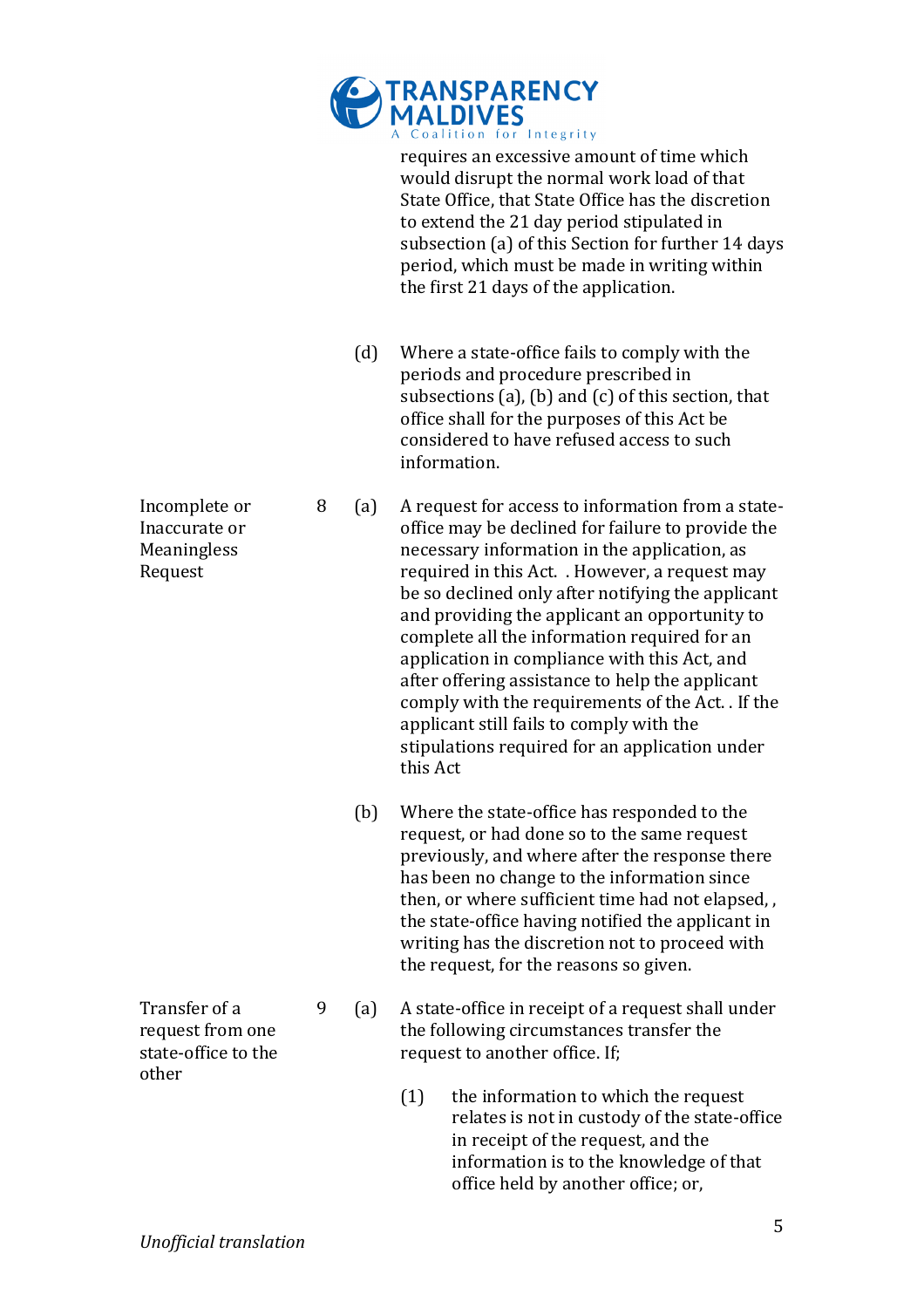

requires an excessive amount of time which would disrupt the normal work load of that State Office, that State Office has the discretion to extend the 21 day period stipulated in subsection (a) of this Section for further 14 days period, which must be made in writing within the first 21 days of the application.

- (d) Where a state-office fails to comply with the periods and procedure prescribed in subsections (a), (b) and (c) of this section, that office shall for the purposes of this Act be considered to have refused access to such information.
- 8 (a) A request for access to information from a stateoffice may be declined for failure to provide the necessary information in the application, as required in this Act. . However, a request may be so declined only after notifying the applicant and providing the applicant an opportunity to complete all the information required for an application in compliance with this Act, and after offering assistance to help the applicant comply with the requirements of the Act. . If the applicant still fails to comply with the stipulations required for an application under this Act.
	- (b) Where the state-office has responded to the request, or had done so to the same request previously, and where after the response there has been no change to the information since then, or where sufficient time had not elapsed... the state-office having notified the applicant in writing has the discretion not to proceed with the request, for the reasons so given.
- 9 (a) A state-office in receipt of a request shall under the following circumstances transfer the request to another office. If:
	- $(1)$  the information to which the request relates is not in custody of the state-office in receipt of the request, and the information is to the knowledge of that office held by another office; or,

Incomplete or Inaccurate or **Meaningless** Request

Transfer of a request from one state-office to the

other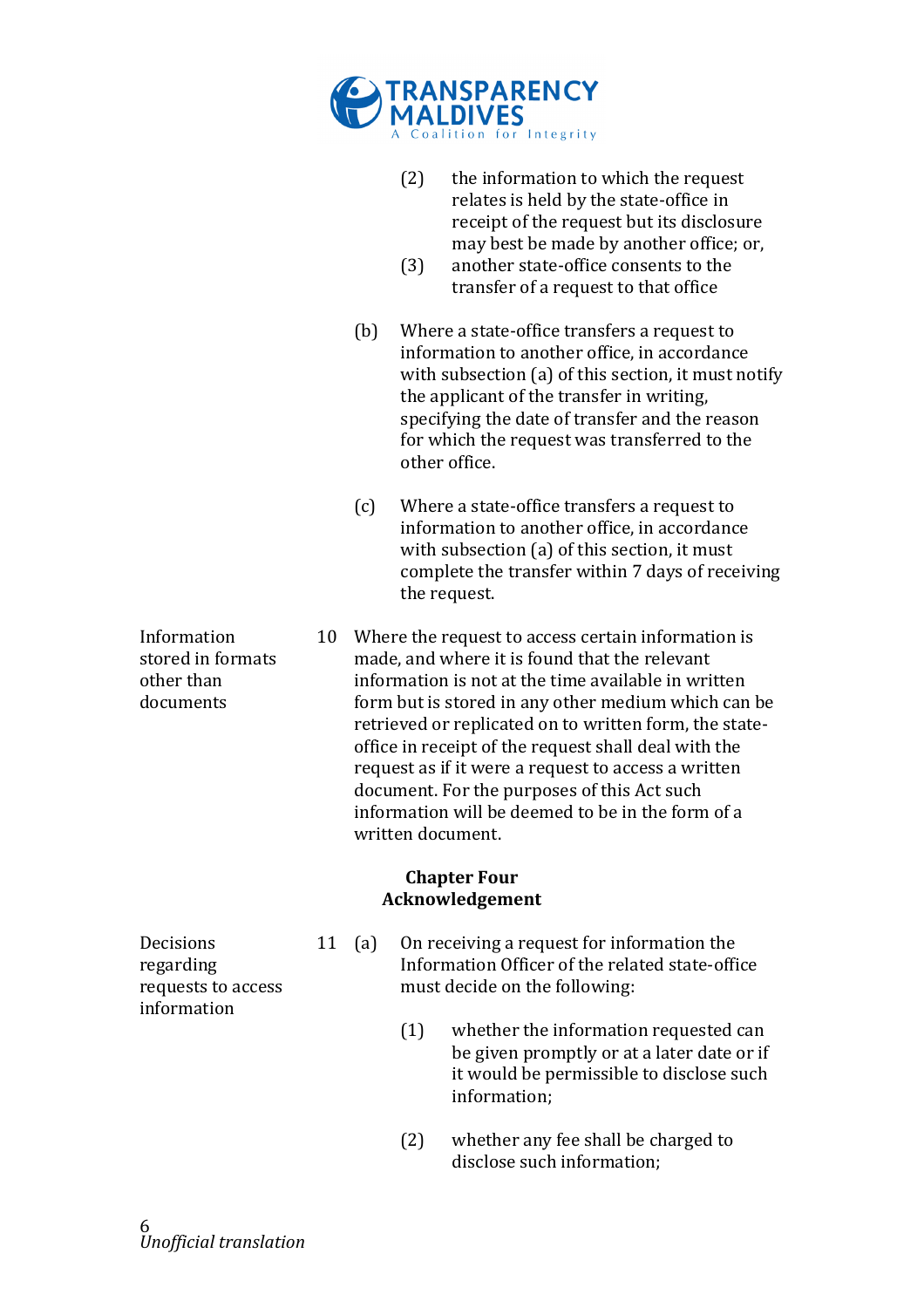

- (2) the information to which the request relates is held by the state-office in receipt of the request but its disclosure may best be made by another office; or,
- $(3)$  another state-office consents to the transfer of a request to that office
- (b) Where a state-office transfers a request to information to another office, in accordance with subsection (a) of this section, it must notify the applicant of the transfer in writing, specifying the date of transfer and the reason for which the request was transferred to the other office.
- $(c)$  Where a state-office transfers a request to  $\overline{c}$ information to another office, in accordance with subsection (a) of this section, it must complete the transfer within 7 days of receiving the request.
- 10 Where the request to access certain information is made, and where it is found that the relevant information is not at the time available in written form but is stored in any other medium which can be retrieved or replicated on to written form, the stateoffice in receipt of the request shall deal with the request as if it were a request to access a written document. For the purposes of this Act such information will be deemed to be in the form of a written document.

#### **Chapter Four Acknowledgement**

**Decisions** regarding! requests to access information

- 11 (a) On receiving a request for information the Information Officer of the related state-office must decide on the following:
	- $(1)$  whether the information requested can be given promptly or at a later date or if it would be permissible to disclose such information;
	- $(2)$  whether any fee shall be charged to disclose such information;

Information! stored in formats other than documents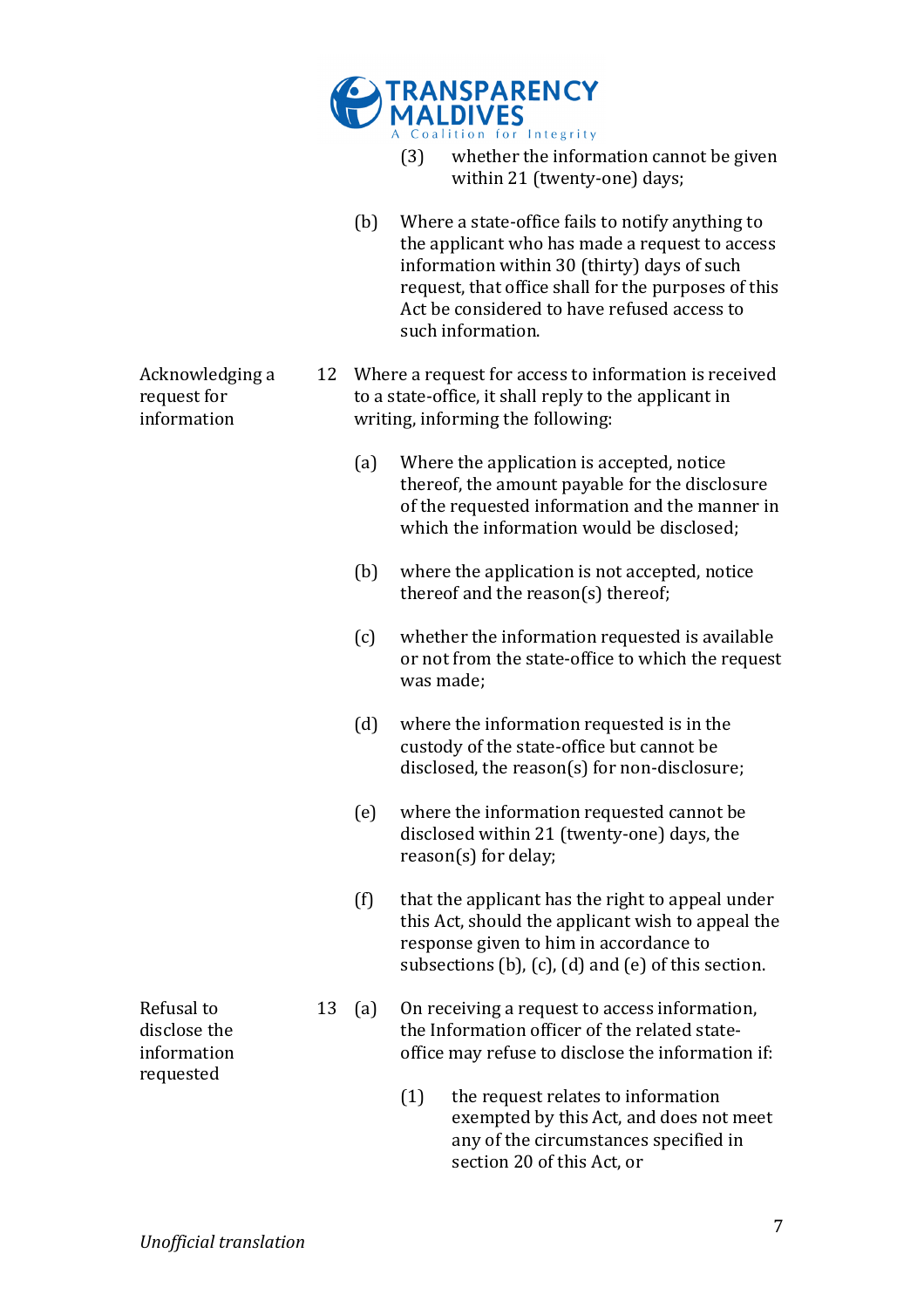

- $(3)$  whether the information cannot be given within 21 (twenty-one) days;
- (b) Where a state-office fails to notify anything to  $\theta$ the applicant who has made a request to access information within 30 (thirty) days of such request, that office shall for the purposes of this Act be considered to have refused access to such information.
- 12 Where a request for access to information is received to a state-office, it shall reply to the applicant in writing, informing the following:
	- (a) Where the application is accepted, notice thereof, the amount payable for the disclosure of the requested information and the manner in which the information would be disclosed:
	- $(b)$  where the application is not accepted, notice thereof and the reason(s) thereof;
	- $(c)$  whether the information requested is available or not from the state-office to which the request was made:
	- $(d)$  where the information requested is in the custody of the state-office but cannot be disclosed, the reason(s) for non-disclosure;
	- (e) where the information requested cannot be disclosed within 21 (twenty-one) days, the  $reason(s)$  for delay;
	- $(f)$  that the applicant has the right to appeal under this Act, should the applicant wish to appeal the response given to him in accordance to subsections (b), (c), (d) and (e) of this section.
	- 13 (a) On receiving a request to access information, the Information officer of the related stateoffice may refuse to disclose the information if:
		- $(1)$  the request relates to information exempted by this Act, and does not meet any of the circumstances specified in section 20 of this Act, or

Refusal to disclose the information!

requested

Acknowledging a

request for information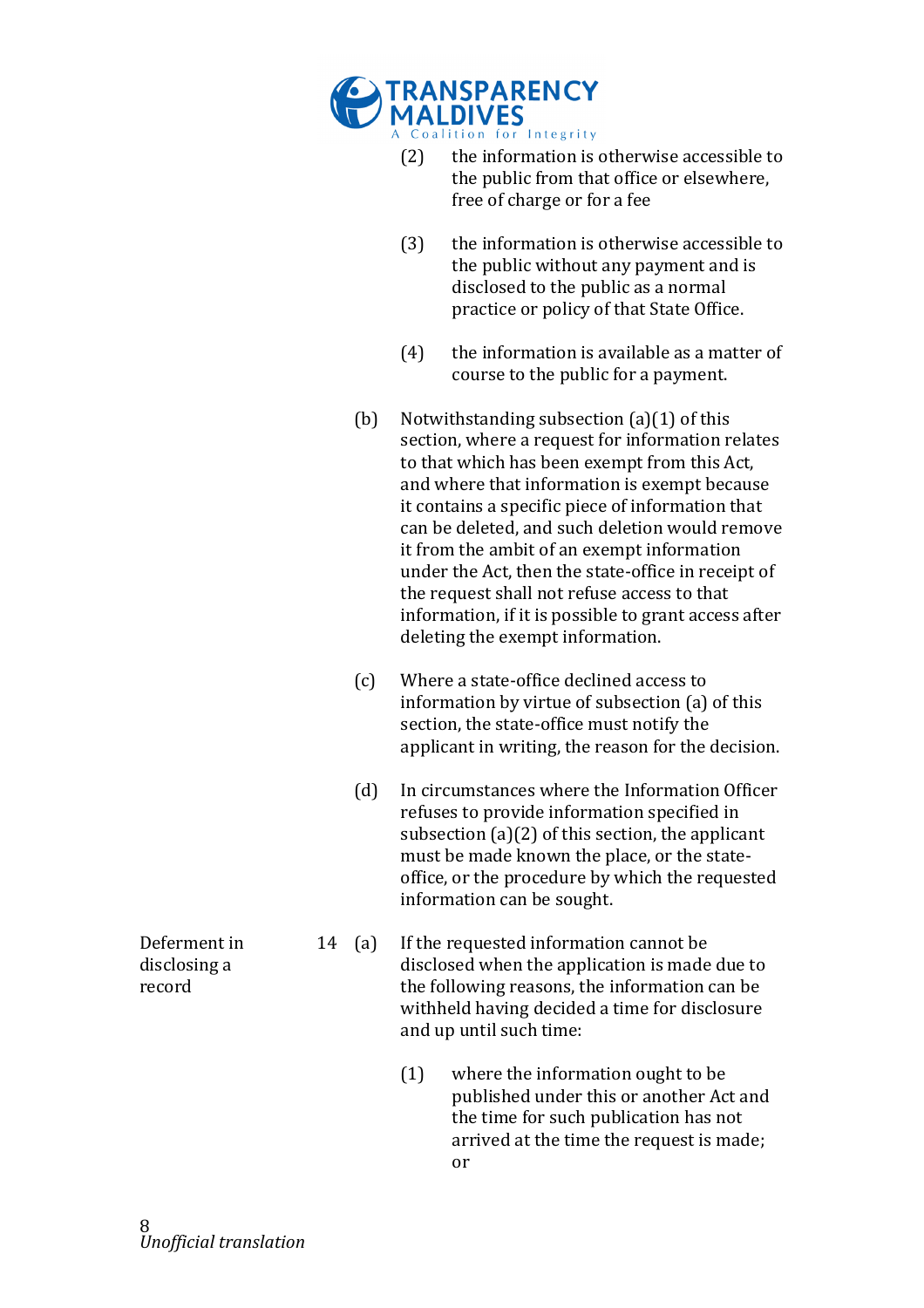

- $(2)$  the information is otherwise accessible to the public from that office or elsewhere, free of charge or for a fee
- $(3)$  the information is otherwise accessible to the public without any payment and is disclosed to the public as a normal practice or policy of that State Office.
- $(4)$  the information is available as a matter of course to the public for a payment.
- (b) Notwithstanding subsection  $(a)(1)$  of this section, where a request for information relates to that which has been exempt from this Act, and where that information is exempt because it contains a specific piece of information that can be deleted, and such deletion would remove it from the ambit of an exempt information under the Act, then the state-office in receipt of the request shall not refuse access to that information, if it is possible to grant access after deleting the exempt information.
- (c) Where a state-office declined access to information by virtue of subsection  $(a)$  of this section, the state-office must notify the applicant in writing, the reason for the decision.
- (d) In circumstances where the Information Officer refuses to provide information specified in subsection  $(a)(2)$  of this section, the applicant must be made known the place, or the stateoffice, or the procedure by which the requested information can be sought.
- 14 (a) If the requested information cannot be disclosed when the application is made due to the following reasons, the information can be withheld having decided a time for disclosure and up until such time:
	- $(1)$  where the information ought to be published under this or another Act and the time for such publication has not arrived at the time the request is made; or

Deferment in disclosing a record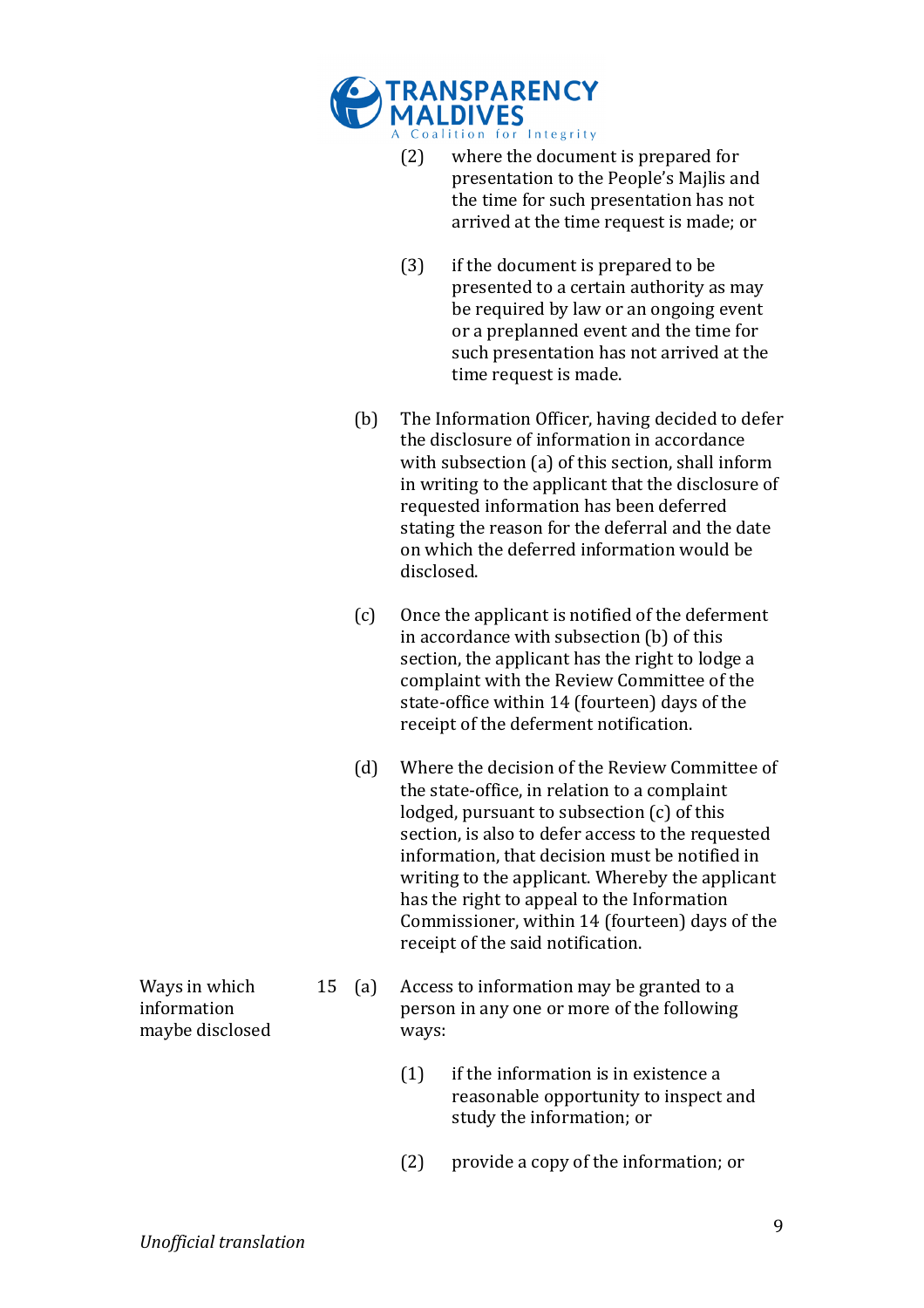

- $(2)$  where the document is prepared for presentation to the People's Majlis and the time for such presentation has not arrived at the time request is made; or
- $(3)$  if the document is prepared to be presented to a certain authority as may be required by law or an ongoing event or a preplanned event and the time for such presentation has not arrived at the time request is made.
- (b) The Information Officer, having decided to defer the disclosure of information in accordance with subsection (a) of this section, shall inform in writing to the applicant that the disclosure of requested information has been deferred stating the reason for the deferral and the date on which the deferred information would be disclosed.
- $(c)$  Once the applicant is notified of the deferment in accordance with subsection (b) of this section, the applicant has the right to lodge a complaint with the Review Committee of the state-office within 14 (fourteen) days of the receipt of the deferment notification.
- (d) Where the decision of the Review Committee of the state-office, in relation to a complaint lodged, pursuant to subsection  $(c)$  of this section, is also to defer access to the requested information, that decision must be notified in writing to the applicant. Whereby the applicant has the right to appeal to the Information Commissioner, within 14 (fourteen) days of the receipt of the said notification.
- 15 (a) Access to information may be granted to a person in any one or more of the following ways:
	- $(1)$  if the information is in existence a reasonable opportunity to inspect and study the information; or
	- $(2)$  provide a copy of the information; or

Ways in which information! maybe disclosed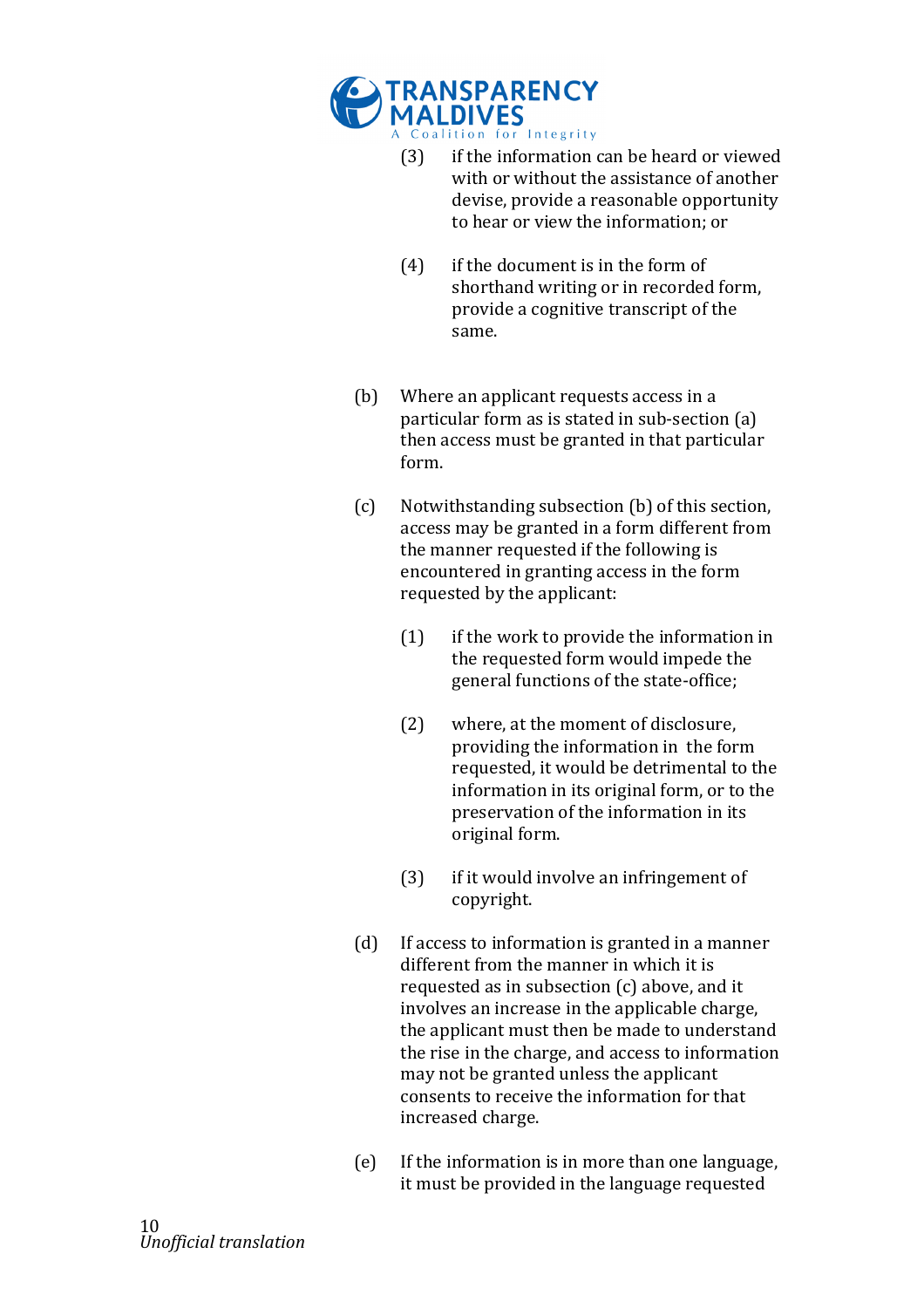

- $(3)$  if the information can be heard or viewed with or without the assistance of another devise, provide a reasonable opportunity to hear or view the information; or
- $(4)$  if the document is in the form of shorthand writing or in recorded form, provide a cognitive transcript of the same.
- (b) Where an applicant requests access in a particular form as is stated in sub-section (a) then access must be granted in that particular form.
- (c) Notwithstanding subsection (b) of this section, access may be granted in a form different from the manner requested if the following is encountered in granting access in the form requested by the applicant:
	- $(1)$  if the work to provide the information in the requested form would impede the general functions of the state-office;
	- $(2)$  where, at the moment of disclosure, providing the information in the form requested, it would be detrimental to the information in its original form, or to the preservation of the information in its original form.
	- $(3)$  if it would involve an infringement of copyright.
- $(d)$  If access to information is granted in a manner different from the manner in which it is requested as in subsection  $(c)$  above, and it involves an increase in the applicable charge, the applicant must then be made to understand the rise in the charge, and access to information may not be granted unless the applicant consents to receive the information for that increased charge.
- (e) If the information is in more than one language, it must be provided in the language requested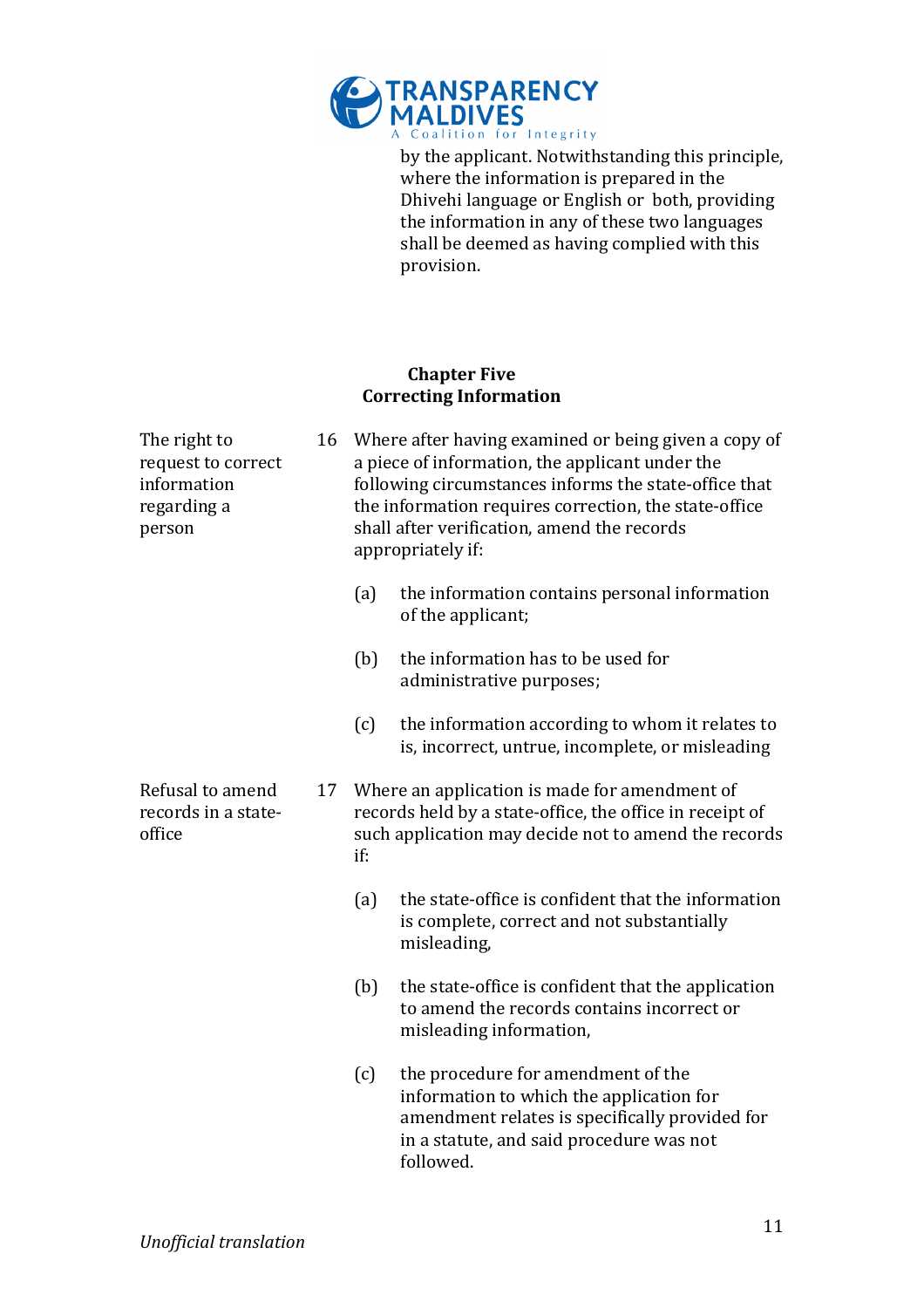

by the applicant. Notwithstanding this principle, where the information is prepared in the Dhivehi language or English or both, providing the information in any of these two languages shall be deemed as having complied with this provision.

### **Chapter Five Correcting Information**

| The right to<br>request to correct<br>information<br>regarding a<br>person | 16 |     | Where after having examined or being given a copy of<br>a piece of information, the applicant under the<br>following circumstances informs the state-office that<br>the information requires correction, the state-office<br>shall after verification, amend the records<br>appropriately if: |
|----------------------------------------------------------------------------|----|-----|-----------------------------------------------------------------------------------------------------------------------------------------------------------------------------------------------------------------------------------------------------------------------------------------------|
|                                                                            |    | (a) | the information contains personal information<br>of the applicant;                                                                                                                                                                                                                            |
|                                                                            |    | (b) | the information has to be used for<br>administrative purposes;                                                                                                                                                                                                                                |
|                                                                            |    | (c) | the information according to whom it relates to<br>is, incorrect, untrue, incomplete, or misleading                                                                                                                                                                                           |
| Refusal to amend<br>records in a state-<br>office                          | 17 | if: | Where an application is made for amendment of<br>records held by a state-office, the office in receipt of<br>such application may decide not to amend the records                                                                                                                             |
|                                                                            |    | (a) | the state-office is confident that the information<br>is complete, correct and not substantially<br>misleading,                                                                                                                                                                               |
|                                                                            |    | (b) | the state-office is confident that the application<br>to amend the records contains incorrect or<br>misleading information,                                                                                                                                                                   |
|                                                                            |    | (c) | the procedure for amendment of the<br>information to which the application for<br>amendment relates is specifically provided for<br>in a statute, and said procedure was not<br>followed.                                                                                                     |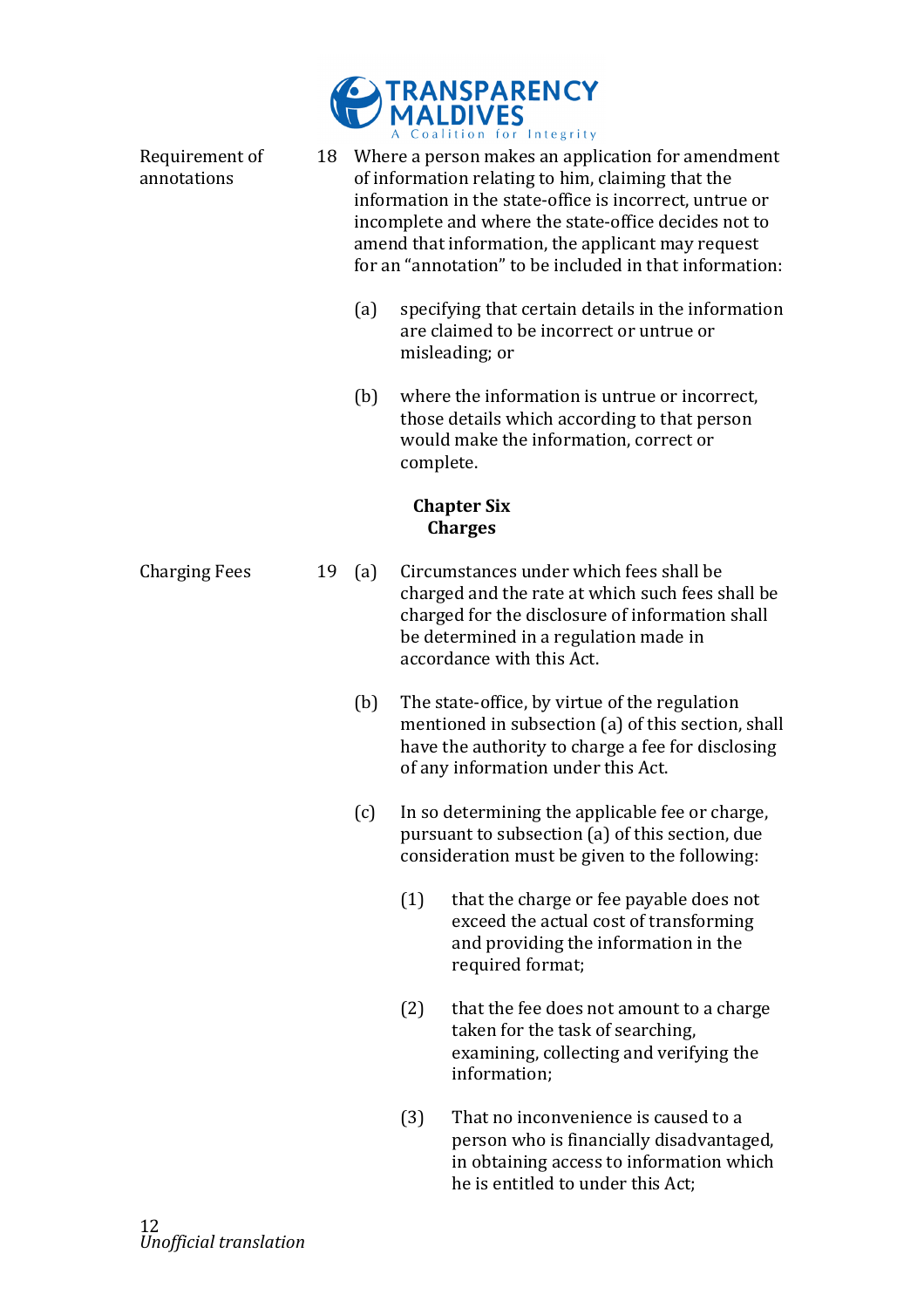

Requirement of annotations 18 Where a person makes an application for amendment of information relating to him, claiming that the information in the state-office is incorrect, untrue or incomplete and where the state-office decides not to amend that information, the applicant may request for an "annotation" to be included in that information: (a) specifying that certain details in the information are claimed to be incorrect or untrue or misleading; or  $(b)$  where the information is untrue or incorrect, those details which according to that person would make the information, correct or complete. **Chapter Six Charges** Charging Fees  $19 \text{ (a)}$  Circumstances under which fees shall be charged and the rate at which such fees shall be charged for the disclosure of information shall be determined in a regulation made in accordance with this Act. (b) The state-office, by virtue of the regulation mentioned in subsection (a) of this section, shall have the authority to charge a fee for disclosing of any information under this Act.  $(c)$  In so determining the applicable fee or charge, pursuant to subsection (a) of this section, due consideration must be given to the following:  $(1)$  that the charge or fee payable does not exceed the actual cost of transforming and providing the information in the required format;  $(2)$  that the fee does not amount to a charge taken for the task of searching, examining, collecting and verifying the information;  $(3)$  That no inconvenience is caused to a person who is financially disadvantaged, in obtaining access to information which he is entitled to under this Act: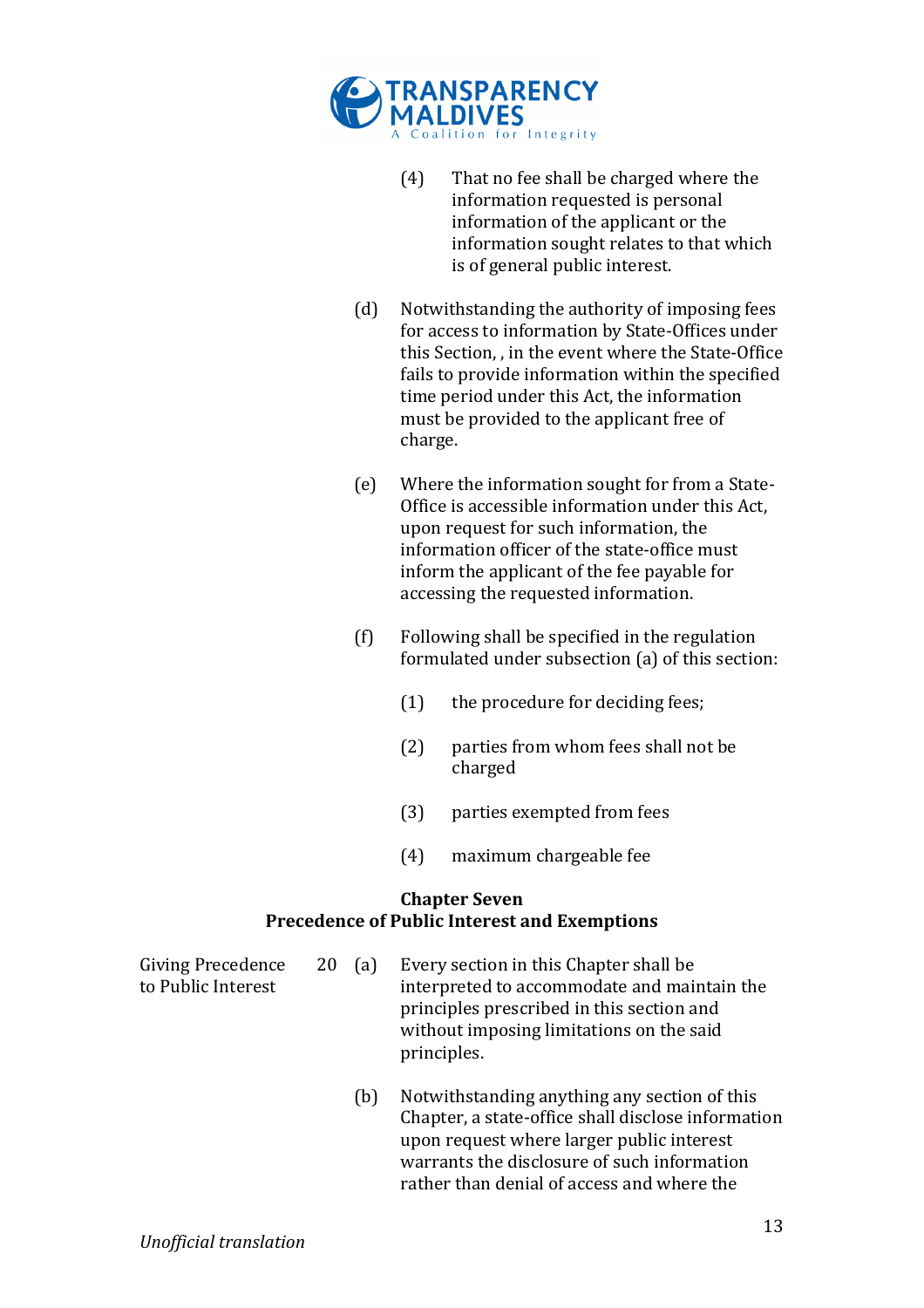

- $(4)$  That no fee shall be charged where the information requested is personal information of the applicant or the information sought relates to that which is of general public interest.
- (d) Notwithstanding the authority of imposing fees for access to information by State-Offices under this Section, , in the event where the State-Office fails to provide information within the specified time period under this Act, the information must be provided to the applicant free of charge.
- (e) Where the information sought for from a State-Office is accessible information under this Act, upon request for such information, the information officer of the state-office must inform the applicant of the fee payable for accessing the requested information.
- $(f)$  Following shall be specified in the regulation formulated under subsection (a) of this section:
	- $(1)$  the procedure for deciding fees;
	- $(2)$  parties from whom fees shall not be charged
	- (3) parties exempted from fees
	- (4) maximum chargeable fee

#### **Chapter Seven Precedence of Public Interest and Exemptions**

| Giving Precedence<br>to Public Interest | $20 \text{ (a)}$ | Every section in this Chapter shall be<br>interpreted to accommodate and maintain the<br>principles prescribed in this section and<br>without imposing limitations on the said<br>principles. |
|-----------------------------------------|------------------|-----------------------------------------------------------------------------------------------------------------------------------------------------------------------------------------------|
|                                         |                  | Martin Barbara di Caraca di Barbara di Languagna di Ciletta                                                                                                                                   |

 $(b)$  Notwithstanding anything any section of this Chapter, a state-office shall disclose information upon request where larger public interest warrants the disclosure of such information rather than denial of access and where the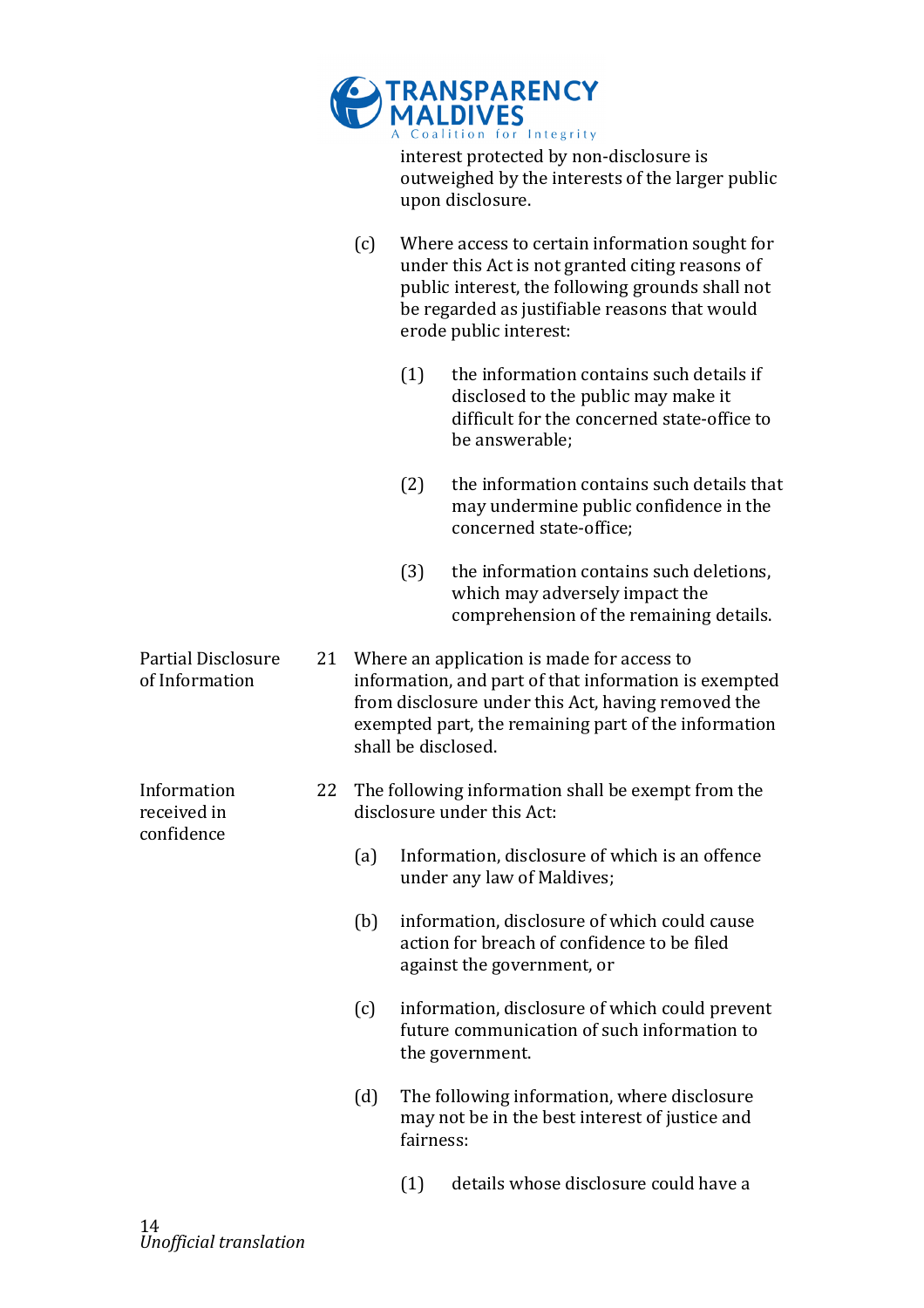|                                             |    |     |           | <b>TRANSPARENCY</b><br>MALDIVES<br>A Coalition for Integrity<br>interest protected by non-disclosure is<br>outweighed by the interests of the larger public<br>upon disclosure.                                                          |
|---------------------------------------------|----|-----|-----------|------------------------------------------------------------------------------------------------------------------------------------------------------------------------------------------------------------------------------------------|
|                                             |    | (c) |           | Where access to certain information sought for<br>under this Act is not granted citing reasons of<br>public interest, the following grounds shall not<br>be regarded as justifiable reasons that would<br>erode public interest:         |
|                                             |    |     | (1)       | the information contains such details if<br>disclosed to the public may make it<br>difficult for the concerned state-office to<br>be answerable;                                                                                         |
|                                             |    |     | (2)       | the information contains such details that<br>may undermine public confidence in the<br>concerned state-office;                                                                                                                          |
|                                             |    |     | (3)       | the information contains such deletions,<br>which may adversely impact the<br>comprehension of the remaining details.                                                                                                                    |
| <b>Partial Disclosure</b><br>of Information | 21 |     |           | Where an application is made for access to<br>information, and part of that information is exempted<br>from disclosure under this Act, having removed the<br>exempted part, the remaining part of the information<br>shall be disclosed. |
| Information<br>received in                  | 22 |     |           | The following information shall be exempt from the<br>disclosure under this Act:                                                                                                                                                         |
| confidence                                  |    | (a) |           | Information, disclosure of which is an offence<br>under any law of Maldives;                                                                                                                                                             |
|                                             |    | (b) |           | information, disclosure of which could cause<br>action for breach of confidence to be filed<br>against the government, or                                                                                                                |
|                                             |    | (c) |           | information, disclosure of which could prevent<br>future communication of such information to<br>the government.                                                                                                                         |
|                                             |    | (d) | fairness: | The following information, where disclosure<br>may not be in the best interest of justice and                                                                                                                                            |
|                                             |    |     | (1)       | details whose disclosure could have a                                                                                                                                                                                                    |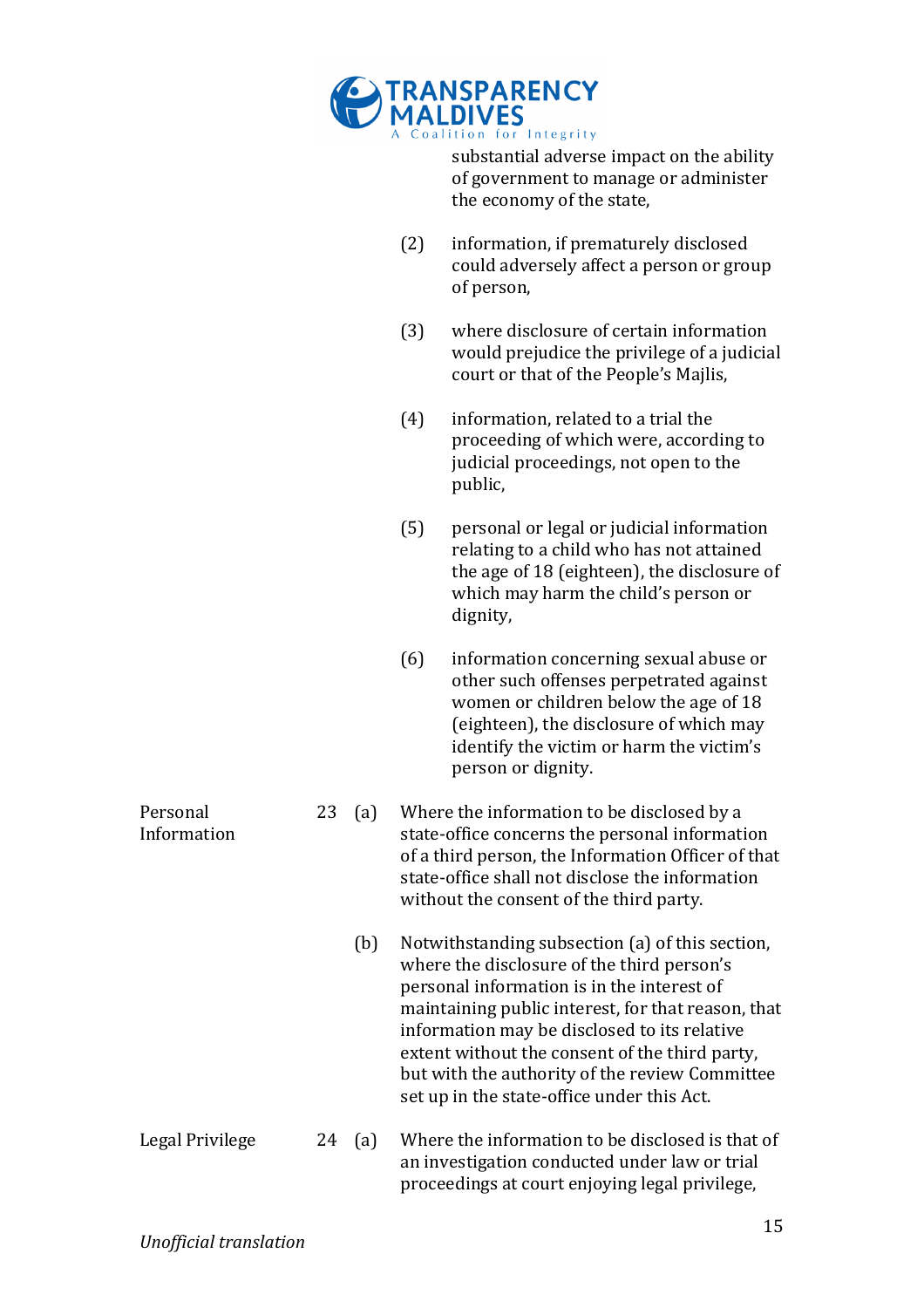

substantial adverse impact on the ability of government to manage or administer the economy of the state,

- $(2)$  information, if prematurely disclosed could adversely affect a person or group of person,
- (3) where disclosure of certain information would prejudice the privilege of a judicial court or that of the People's Majlis,
- $(4)$  information, related to a trial the proceeding of which were, according to judicial proceedings, not open to the public,
- $(5)$  personal or legal or judicial information relating to a child who has not attained the age of 18 (eighteen), the disclosure of which may harm the child's person or dignity,
- $(6)$  information concerning sexual abuse or other such offenses perpetrated against women or children below the age of 18 (eighteen), the disclosure of which may identify the victim or harm the victim's person or dignity.
- 23 (a) Where the information to be disclosed by a state-office concerns the personal information of a third person, the Information Officer of that state-office shall not disclose the information without the consent of the third party.
	- (b) Notwithstanding subsection (a) of this section, where the disclosure of the third person's personal information is in the interest of maintaining public interest, for that reason, that information may be disclosed to its relative extent without the consent of the third party, but with the authority of the review Committee set up in the state-office under this Act.
- Legal Privilege 24 (a) Where the information to be disclosed is that of an investigation conducted under law or trial proceedings at court enjoying legal privilege,

**Personal** Information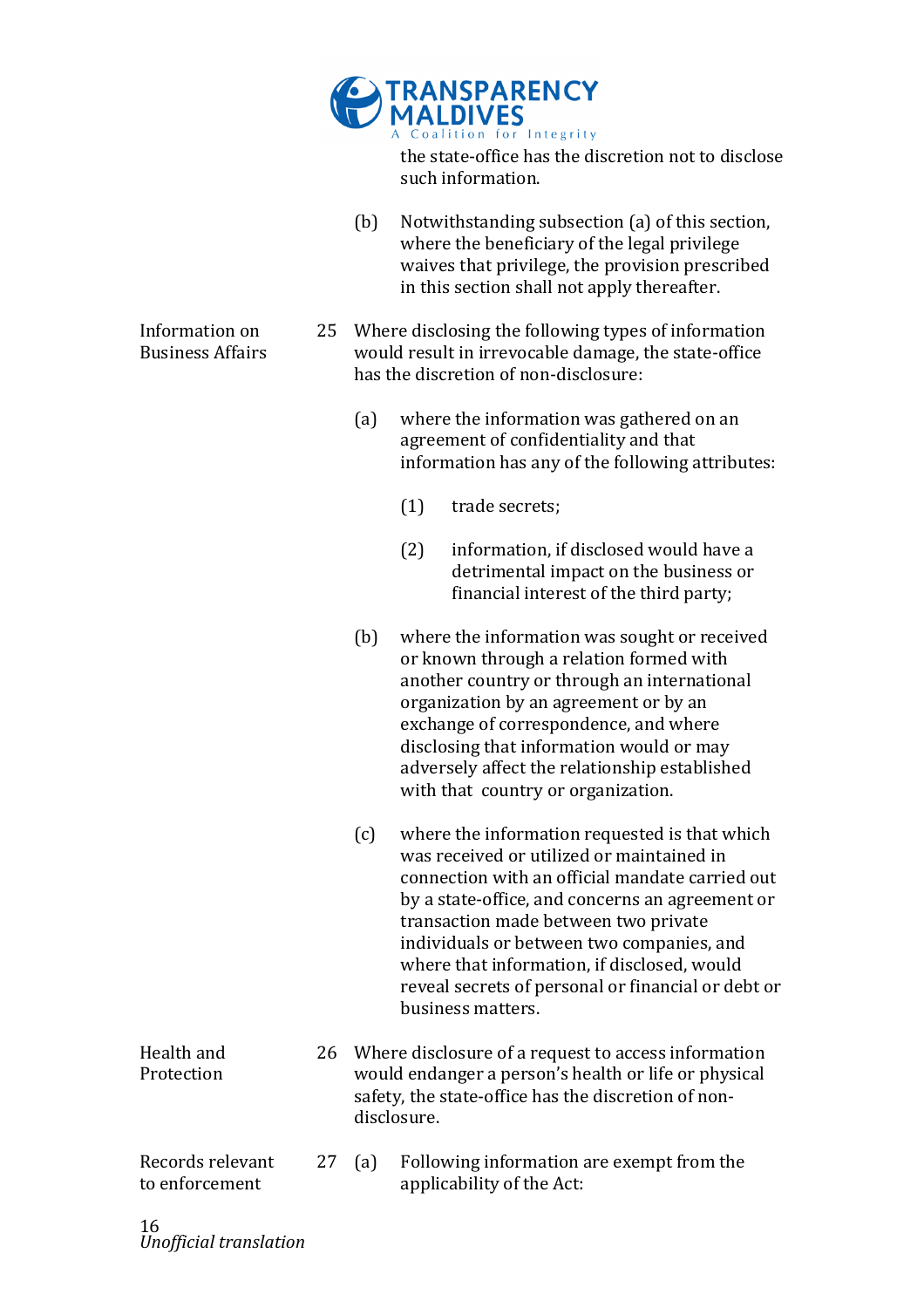

the state-office has the discretion not to disclose such information.

- (b) Notwithstanding subsection (a) of this section, where the beneficiary of the legal privilege waives that privilege, the provision prescribed in this section shall not apply thereafter.
- 25 Where disclosing the following types of information would result in irrevocable damage, the state-office has the discretion of non-disclosure:
	- (a) where the information was gathered on an agreement of confidentiality and that information has any of the following attributes:
		- (1) trade secrets;
		- $(2)$  information, if disclosed would have a detrimental impact on the business or financial interest of the third party;
	- (b) where the information was sought or received or known through a relation formed with another country or through an international organization by an agreement or by an exchange of correspondence, and where disclosing that information would or may adversely affect the relationship established with that country or organization.
	- $(c)$  where the information requested is that which was received or utilized or maintained in connection with an official mandate carried out by a state-office, and concerns an agreement or transaction made between two private individuals or between two companies, and where that information, if disclosed, would reveal secrets of personal or financial or debt or business matters.
- Health and Protection 26 Where disclosure of a request to access information would endanger a person's health or life or physical safety, the state-office has the discretion of nondisclosure.
- Records relevant to enforcement 27 (a) Following information are exempt from the applicability of the Act:

Information on Business!Affairs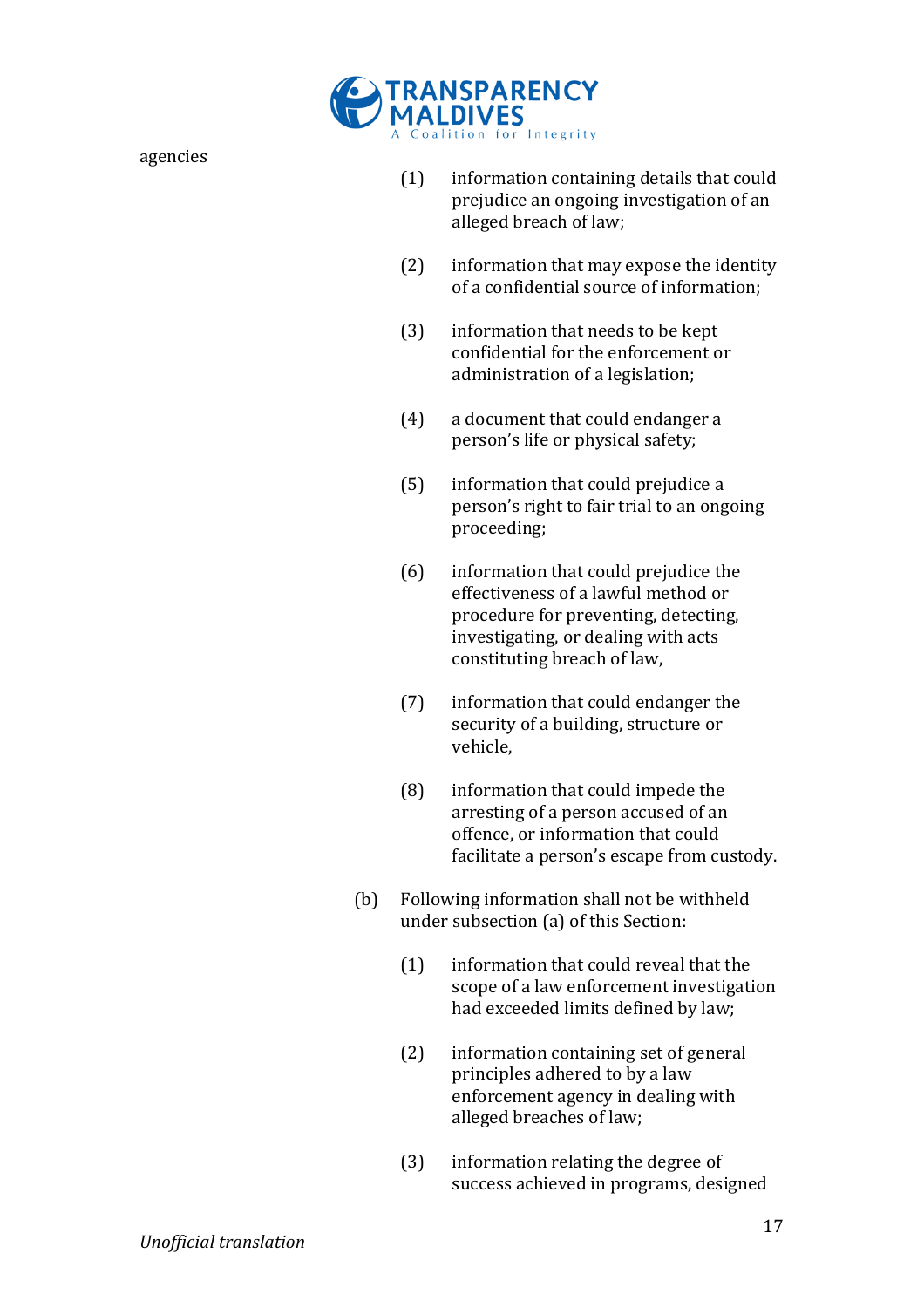

- $(1)$  information containing details that could prejudice an ongoing investigation of an alleged breach of law;
- $(2)$  information that may expose the identity of a confidential source of information:
- $(3)$  information that needs to be kept confidential for the enforcement or administration of a legislation;
- $(4)$  a document that could endanger a person's life or physical safety;
- $(5)$  information that could prejudice a person's right to fair trial to an ongoing proceeding;
- $(6)$  information that could prejudice the effectiveness of a lawful method or procedure for preventing, detecting, investigating, or dealing with acts constituting breach of law,
- $(7)$  information that could endanger the security of a building, structure or vehicle,
- $(8)$  information that could impede the arresting of a person accused of an offence, or information that could facilitate a person's escape from custody.
- $(b)$  Following information shall not be withheld under subsection (a) of this Section:
	- $(1)$  information that could reveal that the scope of a law enforcement investigation had exceeded limits defined by law;
	- $(2)$  information containing set of general principles adhered to by a law enforcement agency in dealing with alleged breaches of law;
	- $(3)$  information relating the degree of success achieved in programs, designed

agencies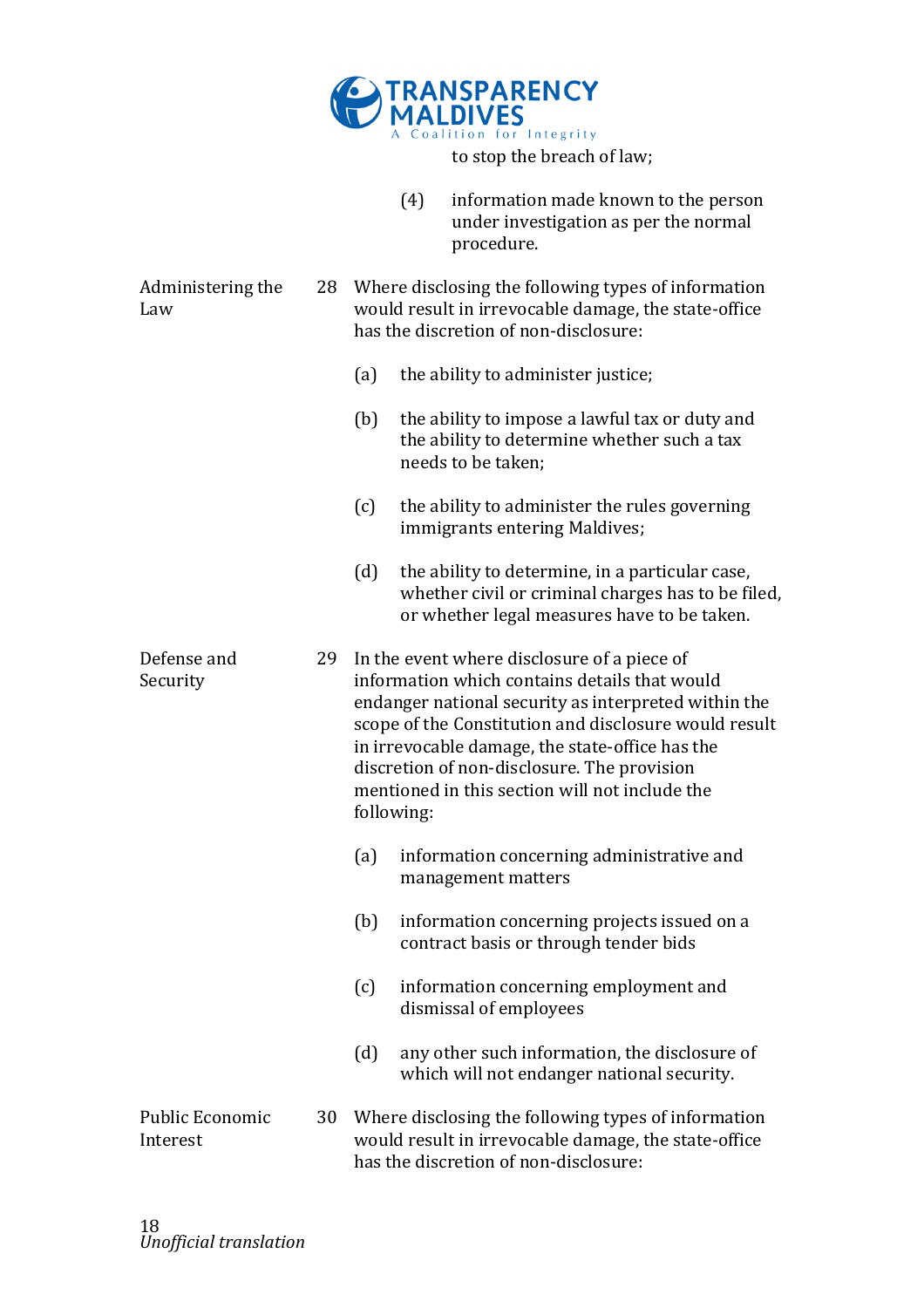

|                             |    |                                                                                                                                                      | (4)        | information made known to the person<br>under investigation as per the normal<br>procedure.                                                                                                                                                                                                                                                                       |  |  |
|-----------------------------|----|------------------------------------------------------------------------------------------------------------------------------------------------------|------------|-------------------------------------------------------------------------------------------------------------------------------------------------------------------------------------------------------------------------------------------------------------------------------------------------------------------------------------------------------------------|--|--|
| Administering the<br>Law    | 28 | Where disclosing the following types of information<br>would result in irrevocable damage, the state-office<br>has the discretion of non-disclosure: |            |                                                                                                                                                                                                                                                                                                                                                                   |  |  |
|                             |    | (a)                                                                                                                                                  |            | the ability to administer justice;                                                                                                                                                                                                                                                                                                                                |  |  |
|                             |    | (b)                                                                                                                                                  |            | the ability to impose a lawful tax or duty and<br>the ability to determine whether such a tax<br>needs to be taken;                                                                                                                                                                                                                                               |  |  |
|                             |    | (c)                                                                                                                                                  |            | the ability to administer the rules governing<br>immigrants entering Maldives;                                                                                                                                                                                                                                                                                    |  |  |
|                             |    | (d)                                                                                                                                                  |            | the ability to determine, in a particular case,<br>whether civil or criminal charges has to be filed,<br>or whether legal measures have to be taken.                                                                                                                                                                                                              |  |  |
| Defense and<br>Security     | 29 |                                                                                                                                                      | following: | In the event where disclosure of a piece of<br>information which contains details that would<br>endanger national security as interpreted within the<br>scope of the Constitution and disclosure would result<br>in irrevocable damage, the state-office has the<br>discretion of non-disclosure. The provision<br>mentioned in this section will not include the |  |  |
|                             |    | (a)                                                                                                                                                  |            | information concerning administrative and<br>management matters                                                                                                                                                                                                                                                                                                   |  |  |
|                             |    | (b)                                                                                                                                                  |            | information concerning projects issued on a<br>contract basis or through tender bids                                                                                                                                                                                                                                                                              |  |  |
|                             |    | (c)                                                                                                                                                  |            | information concerning employment and<br>dismissal of employees                                                                                                                                                                                                                                                                                                   |  |  |
|                             |    | (d)                                                                                                                                                  |            | any other such information, the disclosure of<br>which will not endanger national security.                                                                                                                                                                                                                                                                       |  |  |
| Public Economic<br>Interest | 30 |                                                                                                                                                      |            | Where disclosing the following types of information<br>would result in irrevocable damage, the state-office<br>has the discretion of non-disclosure:                                                                                                                                                                                                              |  |  |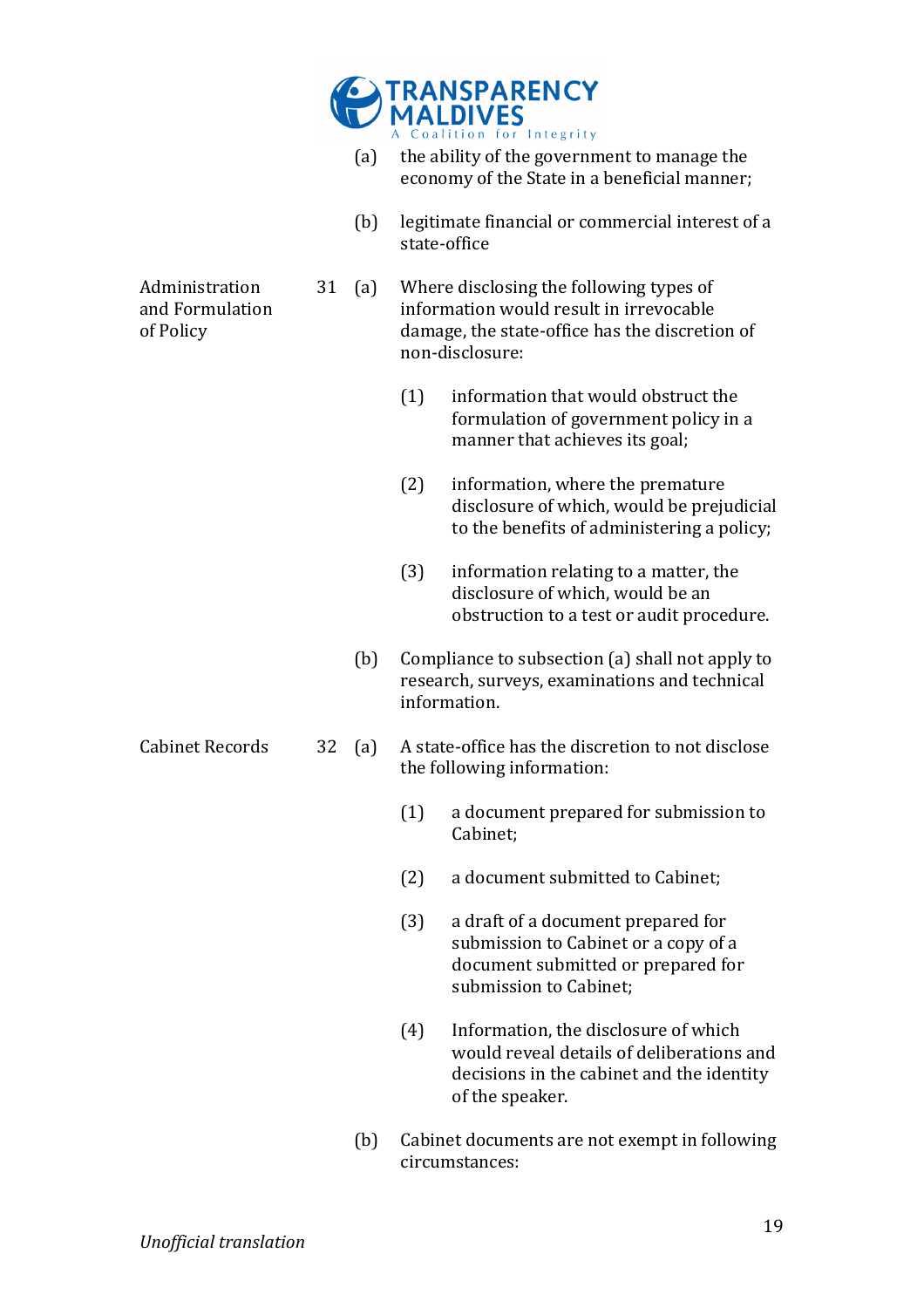

- (a) the ability of the government to manage the economy of the State in a beneficial manner;
- (b) legitimate financial or commercial interest of a state-office

Administration! and Formulation of Policy

- 31 (a) Where disclosing the following types of information would result in irrevocable damage, the state-office has the discretion of non-disclosure:
	- $(1)$  information that would obstruct the formulation of government policy in a manner that achieves its goal;
	- $(2)$  information, where the premature disclosure of which, would be prejudicial to the benefits of administering a policy;
	- $(3)$  information relating to a matter, the disclosure of which, would be an obstruction to a test or audit procedure.
	- (b) Compliance to subsection (a) shall not apply to research, surveys, examinations and technical information.
- Cabinet Records 32 (a) A state-office has the discretion to not disclose the following information:
	- $(1)$  a document prepared for submission to Cabinet;
	- (2) a document submitted to Cabinet;
	- $(3)$  a draft of a document prepared for submission to Cabinet or a copy of a document submitted or prepared for submission to Cabinet:
	- $(4)$  Information, the disclosure of which would reveal details of deliberations and decisions in the cabinet and the identity of the speaker.
	- (b) Cabinet documents are not exempt in following circumstances: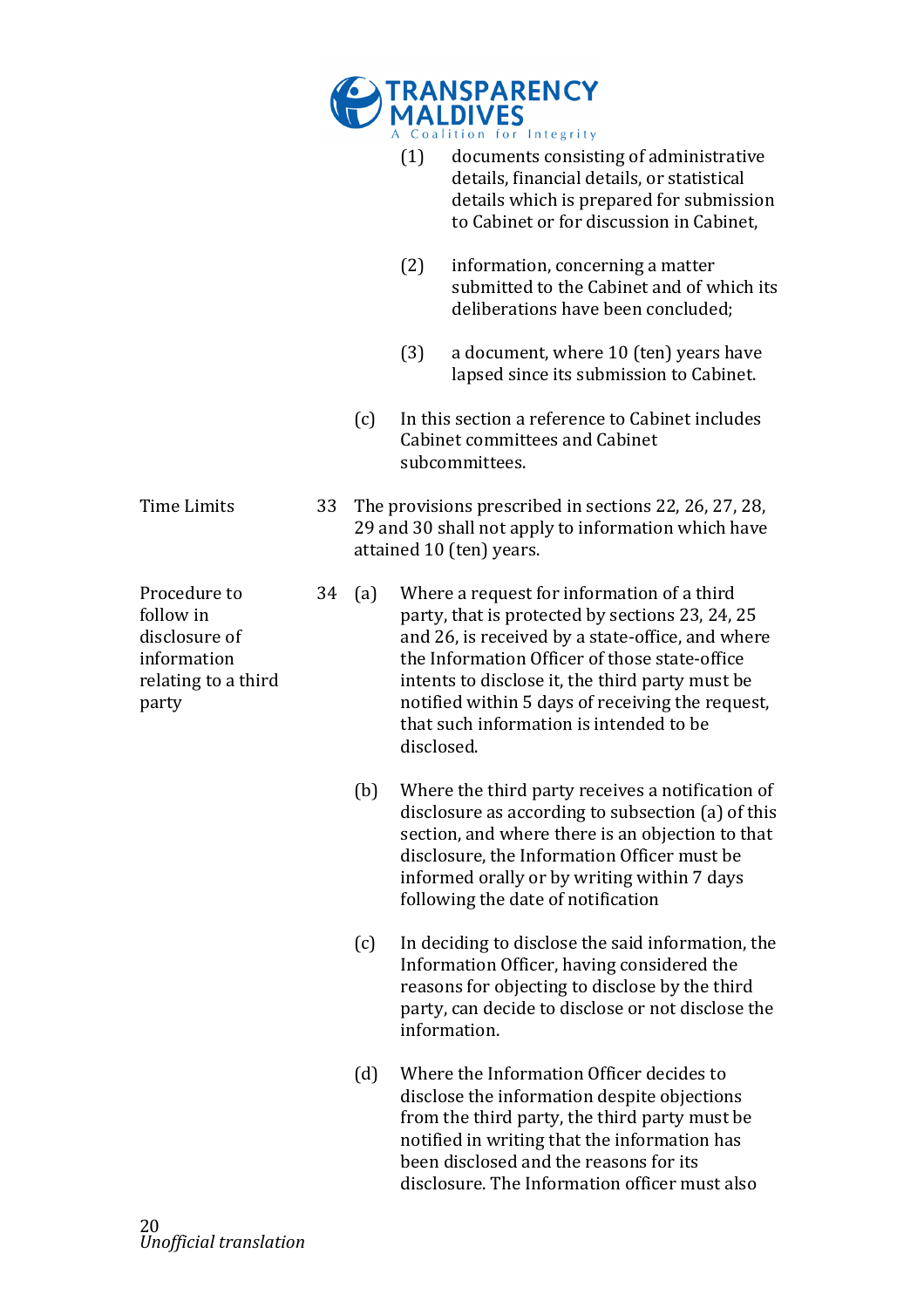|                                                                                           |    |     |            | <b>RANSPARENCY<br/>MALDIVES</b>                                                                                                                                                                                                                                                                                                                      |
|-------------------------------------------------------------------------------------------|----|-----|------------|------------------------------------------------------------------------------------------------------------------------------------------------------------------------------------------------------------------------------------------------------------------------------------------------------------------------------------------------------|
|                                                                                           |    |     | (1)        | Coalition for Integrity<br>documents consisting of administrative<br>details, financial details, or statistical<br>details which is prepared for submission<br>to Cabinet or for discussion in Cabinet,                                                                                                                                              |
|                                                                                           |    |     | (2)        | information, concerning a matter<br>submitted to the Cabinet and of which its<br>deliberations have been concluded;                                                                                                                                                                                                                                  |
|                                                                                           |    |     | (3)        | a document, where 10 (ten) years have<br>lapsed since its submission to Cabinet.                                                                                                                                                                                                                                                                     |
|                                                                                           |    | (c) |            | In this section a reference to Cabinet includes<br><b>Cabinet committees and Cabinet</b><br>subcommittees.                                                                                                                                                                                                                                           |
| <b>Time Limits</b>                                                                        | 33 |     |            | The provisions prescribed in sections 22, 26, 27, 28,<br>29 and 30 shall not apply to information which have<br>attained 10 (ten) years.                                                                                                                                                                                                             |
| Procedure to<br>follow in<br>disclosure of<br>information<br>relating to a third<br>party | 34 | (a) | disclosed. | Where a request for information of a third<br>party, that is protected by sections 23, 24, 25<br>and 26, is received by a state-office, and where<br>the Information Officer of those state-office<br>intents to disclose it, the third party must be<br>notified within 5 days of receiving the request,<br>that such information is intended to be |
|                                                                                           |    | (b) |            | Where the third party receives a notification of<br>disclosure as according to subsection (a) of this<br>section, and where there is an objection to that<br>disclosure, the Information Officer must be<br>informed orally or by writing within 7 days<br>following the date of notification                                                        |
|                                                                                           |    | (c) |            | In deciding to disclose the said information, the<br>Information Officer, having considered the<br>reasons for objecting to disclose by the third<br>party, can decide to disclose or not disclose the<br>information.                                                                                                                               |
|                                                                                           |    | (d) |            | Where the Information Officer decides to<br>disclose the information despite objections<br>from the third party, the third party must be<br>notified in writing that the information has<br>been disclosed and the reasons for its<br>disclosure. The Information officer must also                                                                  |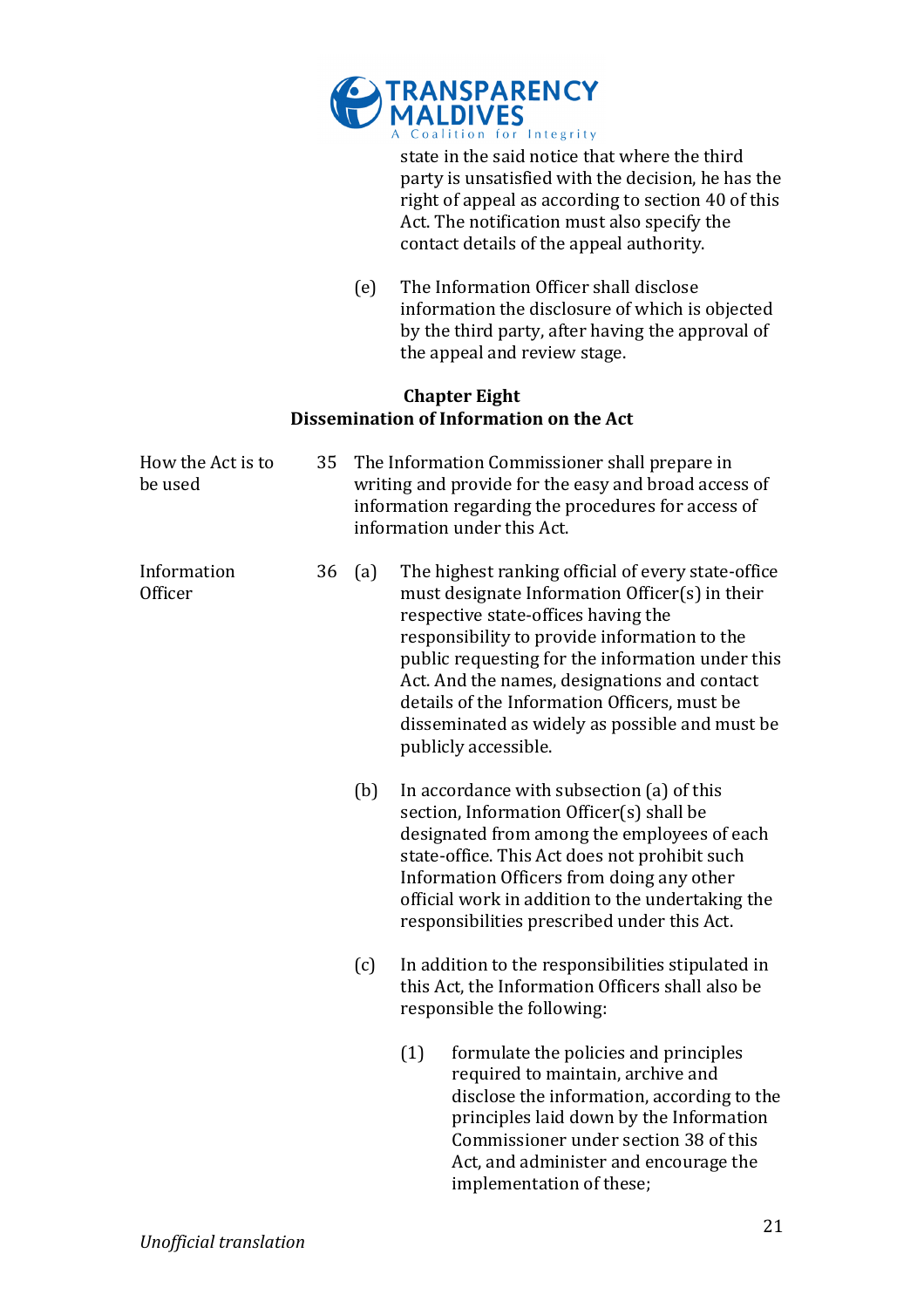

state in the said notice that where the third party is unsatisfied with the decision, he has the right of appeal as according to section 40 of this Act. The notification must also specify the contact details of the appeal authority.

(e) The Information Officer shall disclose information the disclosure of which is objected by the third party, after having the approval of the appeal and review stage.

#### **Chapter Eight Dissemination of Information on the Act**

| How the Act is to<br>be used  | 35 |     | The Information Commissioner shall prepare in<br>writing and provide for the easy and broad access of<br>information regarding the procedures for access of<br>information under this Act.                                                                                                                                                                                                                                |
|-------------------------------|----|-----|---------------------------------------------------------------------------------------------------------------------------------------------------------------------------------------------------------------------------------------------------------------------------------------------------------------------------------------------------------------------------------------------------------------------------|
| Information<br><b>Officer</b> | 36 | (a) | The highest ranking official of every state-office<br>must designate Information Officer(s) in their<br>respective state-offices having the<br>responsibility to provide information to the<br>public requesting for the information under this<br>Act. And the names, designations and contact<br>details of the Information Officers, must be<br>disseminated as widely as possible and must be<br>publicly accessible. |
|                               |    | (b) | In accordance with subsection (a) of this<br>section, Information Officer(s) shall be<br>designated from among the employees of each<br>state-office. This Act does not prohibit such<br>Information Officers from doing any other<br>official work in addition to the undertaking the<br>responsibilities prescribed under this Act.                                                                                     |
|                               |    | (c) | In addition to the responsibilities stipulated in<br>this Act, the Information Officers shall also be<br>responsible the following:                                                                                                                                                                                                                                                                                       |
|                               |    |     | (1)<br>formulate the policies and principles<br>required to maintain, archive and<br>disclose the information, according to the<br>principles laid down by the Information<br>Commissioner under section 38 of this<br>Act, and administer and encourage the<br>implementation of these;                                                                                                                                  |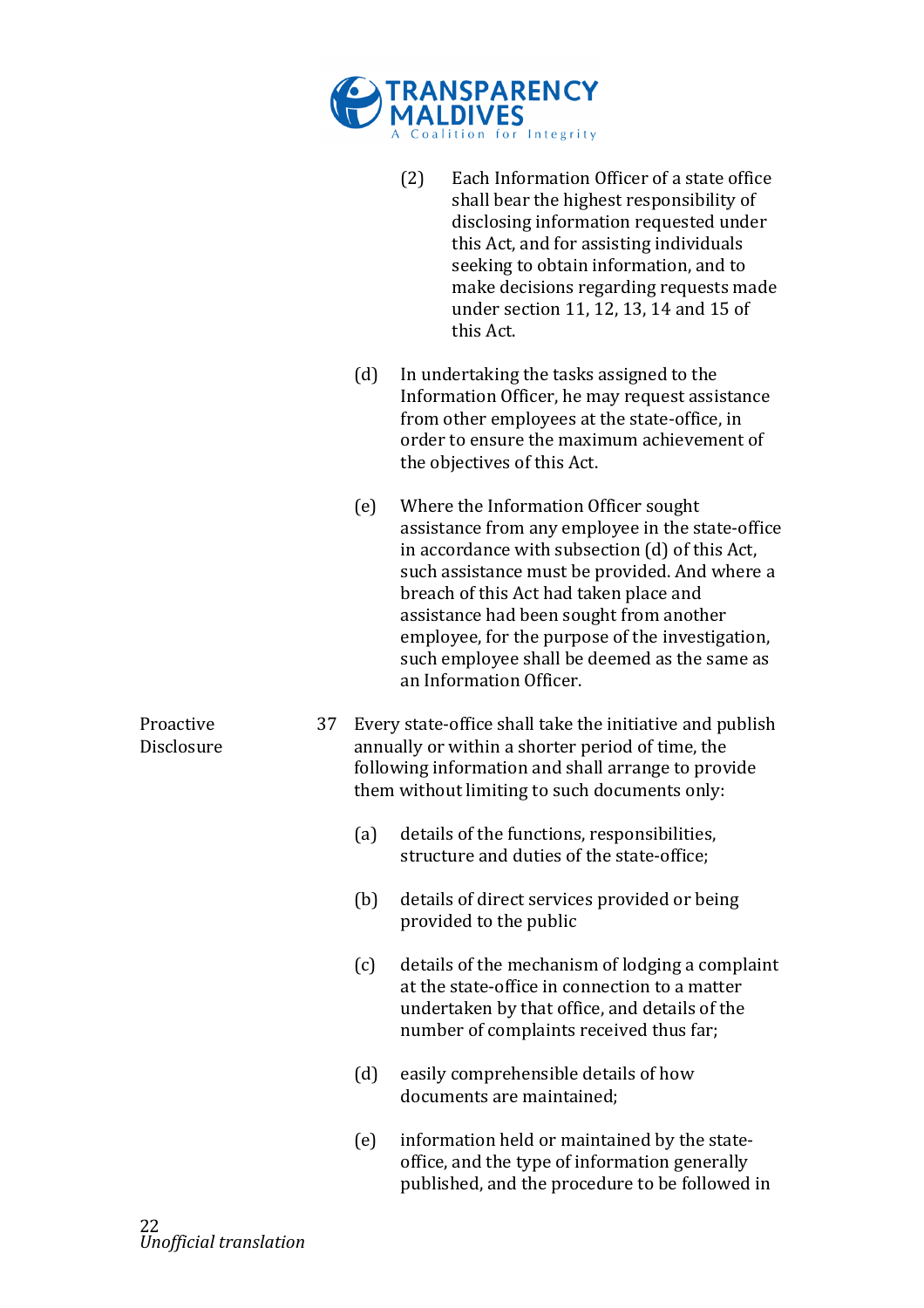

|                         |    |     | (2) | Each Information Officer of a state office<br>shall bear the highest responsibility of<br>disclosing information requested under<br>this Act, and for assisting individuals<br>seeking to obtain information, and to<br>make decisions regarding requests made<br>under section 11, 12, 13, 14 and 15 of<br>this Act.                                                                                          |
|-------------------------|----|-----|-----|----------------------------------------------------------------------------------------------------------------------------------------------------------------------------------------------------------------------------------------------------------------------------------------------------------------------------------------------------------------------------------------------------------------|
|                         |    | (d) |     | In undertaking the tasks assigned to the<br>Information Officer, he may request assistance<br>from other employees at the state-office, in<br>order to ensure the maximum achievement of<br>the objectives of this Act.                                                                                                                                                                                        |
|                         |    | (e) |     | Where the Information Officer sought<br>assistance from any employee in the state-office<br>in accordance with subsection (d) of this Act,<br>such assistance must be provided. And where a<br>breach of this Act had taken place and<br>assistance had been sought from another<br>employee, for the purpose of the investigation,<br>such employee shall be deemed as the same as<br>an Information Officer. |
| Proactive<br>Disclosure | 37 |     |     | Every state-office shall take the initiative and publish<br>annually or within a shorter period of time, the<br>following information and shall arrange to provide<br>them without limiting to such documents only:                                                                                                                                                                                            |
|                         |    | (a) |     | details of the functions, responsibilities,<br>structure and duties of the state-office;                                                                                                                                                                                                                                                                                                                       |
|                         |    | (b) |     | details of direct services provided or being<br>provided to the public                                                                                                                                                                                                                                                                                                                                         |
|                         |    | (c) |     | details of the mechanism of lodging a complaint<br>at the state-office in connection to a matter<br>undertaken by that office, and details of the<br>number of complaints received thus far;                                                                                                                                                                                                                   |
|                         |    | (d) |     | easily comprehensible details of how<br>documents are maintained;                                                                                                                                                                                                                                                                                                                                              |
|                         |    | (e) |     | information held or maintained by the state-<br>office, and the type of information generally<br>published, and the procedure to be followed in                                                                                                                                                                                                                                                                |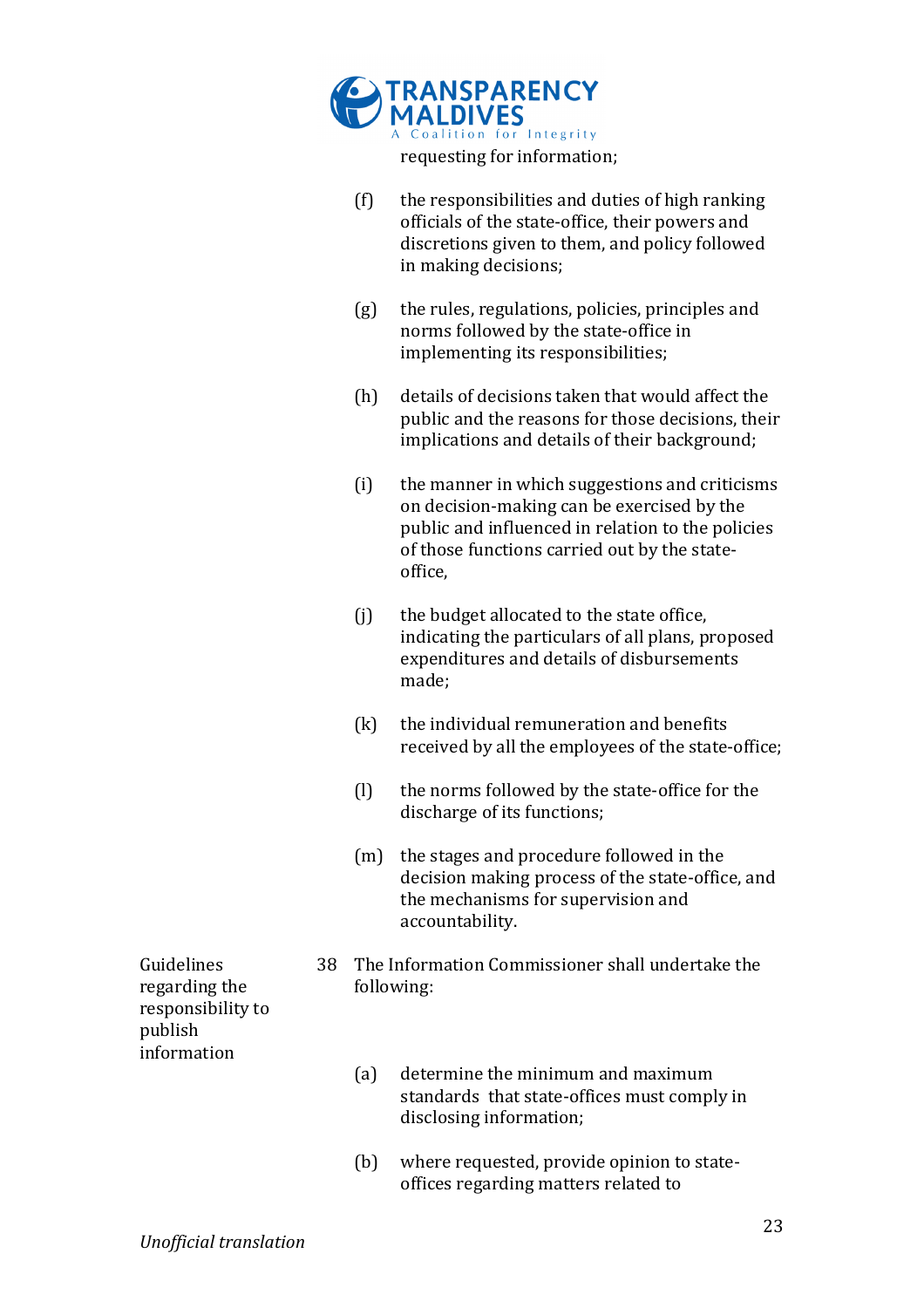| MALDIVES MALDIVES           |
|-----------------------------|
| requesting for information; |

| (f) | the responsibilities and duties of high ranking |
|-----|-------------------------------------------------|
|     | officials of the state-office, their powers and |
|     | discretions given to them, and policy followed  |
|     | in making decisions;                            |

- $(g)$  the rules, regulations, policies, principles and norms followed by the state-office in implementing its responsibilities;
- $(h)$  details of decisions taken that would affect the public and the reasons for those decisions, their implications and details of their background;
- $(i)$  the manner in which suggestions and criticisms on decision-making can be exercised by the public and influenced in relation to the policies of those functions carried out by the stateoffice,
- $(i)$  the budget allocated to the state office, indicating the particulars of all plans, proposed expenditures and details of disbursements made;
- $(k)$  the individual remuneration and benefits received by all the employees of the state-office;
- $(l)$  the norms followed by the state-office for the discharge of its functions:
- (m) the stages and procedure followed in the decision making process of the state-office, and the mechanisms for supervision and accountability.
- 38 The Information Commissioner shall undertake the following:
	- (a) determine the minimum and maximum standards that state-offices must comply in disclosing information;
	- $(b)$  where requested, provide opinion to stateoffices regarding matters related to

Guidelines regarding the responsibility to publish! information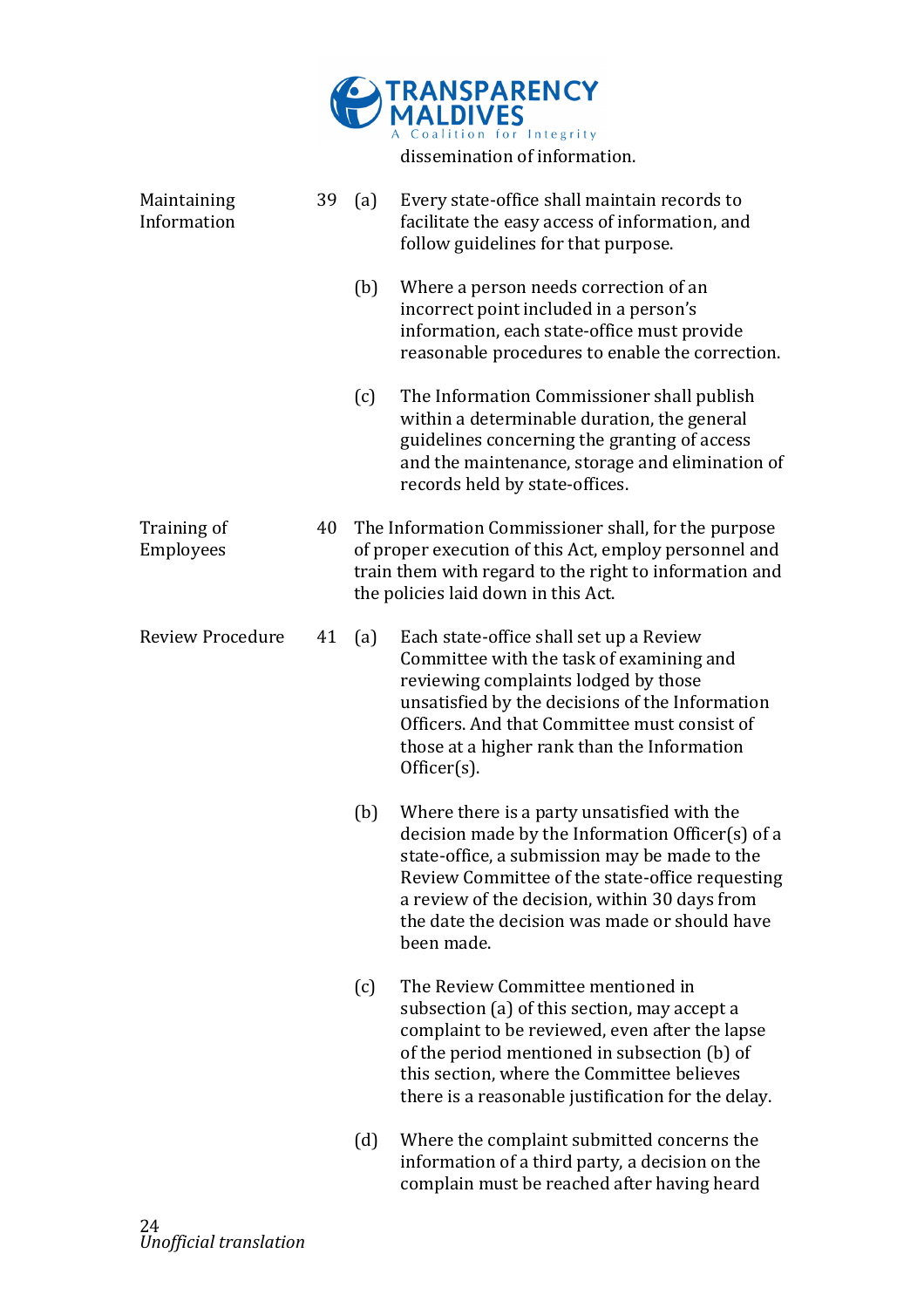

Maintaining! Information 39 (a) Every state-office shall maintain records to facilitate the easy access of information, and follow guidelines for that purpose. (b) Where a person needs correction of an incorrect point included in a person's information, each state-office must provide reasonable procedures to enable the correction.  $(c)$  The Information Commissioner shall publish within a determinable duration, the general guidelines concerning the granting of access and the maintenance, storage and elimination of records held by state-offices. Training of Employees 40 The Information Commissioner shall, for the purpose of proper execution of this Act, employ personnel and train them with regard to the right to information and the policies laid down in this Act. Review Procedure 41 (a) Each state-office shall set up a Review Committee with the task of examining and reviewing complaints lodged by those unsatisfied by the decisions of the Information Officers. And that Committee must consist of those at a higher rank than the Information Officer(s). (b) Where there is a party unsatisfied with the decision made by the Information Officer $(s)$  of a state-office, a submission may be made to the Review Committee of the state-office requesting a review of the decision, within 30 days from the date the decision was made or should have been made. (c) The Review Committee mentioned in subsection (a) of this section, may accept a complaint to be reviewed, even after the lapse of the period mentioned in subsection (b) of this section, where the Committee believes there is a reasonable justification for the delay.  $(d)$  Where the complaint submitted concerns the information of a third party, a decision on the complain must be reached after having heard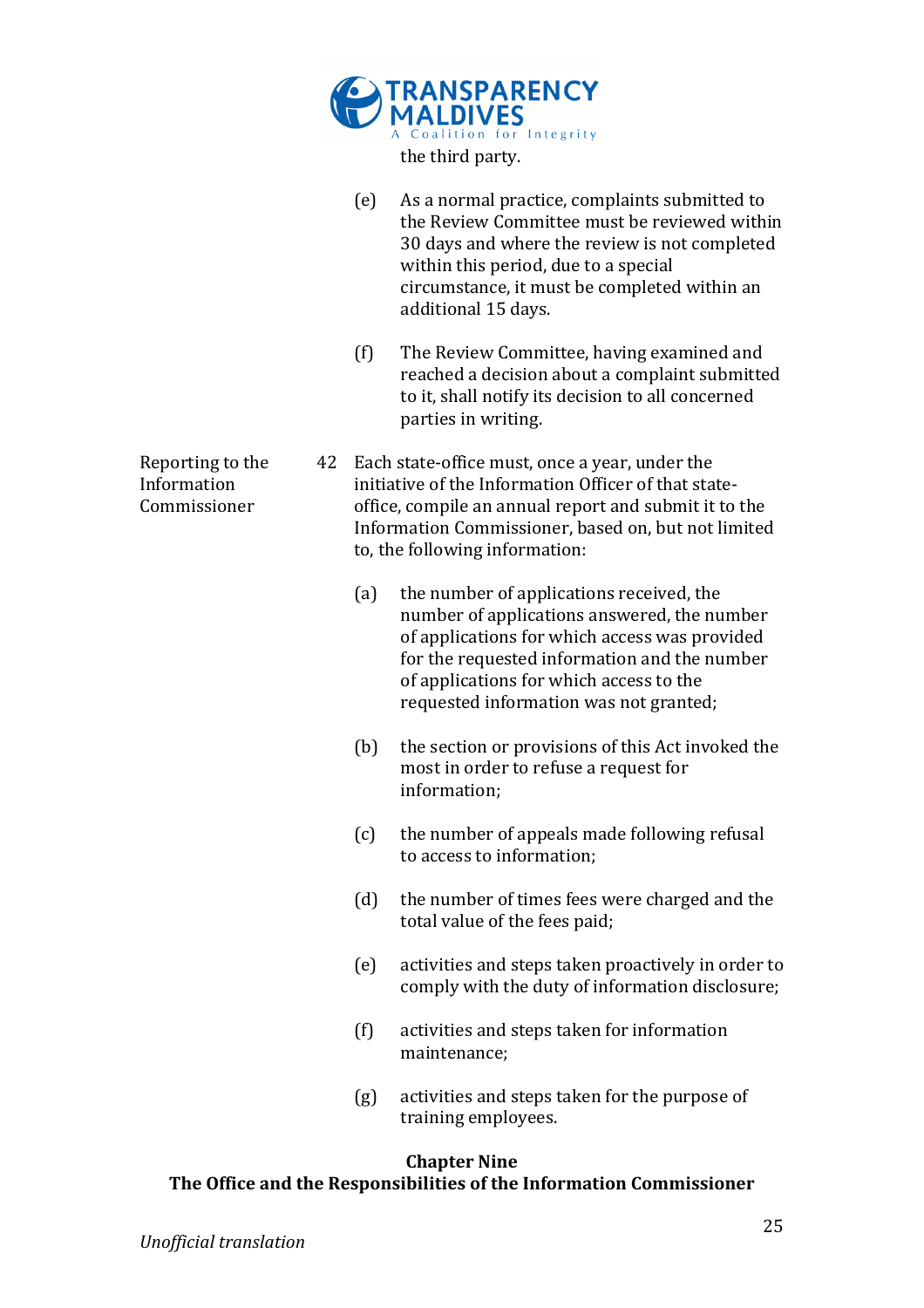

(e) As a normal practice, complaints submitted to the Review Committee must be reviewed within 30 days and where the review is not completed within this period, due to a special circumstance, it must be completed within an additional 15 days.

- $(f)$  The Review Committee, having examined and reached a decision about a complaint submitted to it, shall notify its decision to all concerned parties in writing.
- 42 Each state-office must, once a year, under the initiative of the Information Officer of that stateoffice, compile an annual report and submit it to the Information Commissioner, based on, but not limited to, the following information:
	- (a) the number of applications received, the number of applications answered, the number of applications for which access was provided for the requested information and the number of applications for which access to the requested information was not granted;
	- (b) the section or provisions of this Act invoked the most in order to refuse a request for information;
	- $(c)$  the number of appeals made following refusal to access to information:
	- (d) the number of times fees were charged and the total value of the fees paid;
	- $(e)$  activities and steps taken proactively in order to  $\overline{e}$ comply with the duty of information disclosure;
	- $(f)$  activities and steps taken for information maintenance;
	- $(g)$  activities and steps taken for the purpose of training employees.

# **Chapter Nine The Office and the Responsibilities of the Information Commissioner**

Reporting to the Information! Commissioner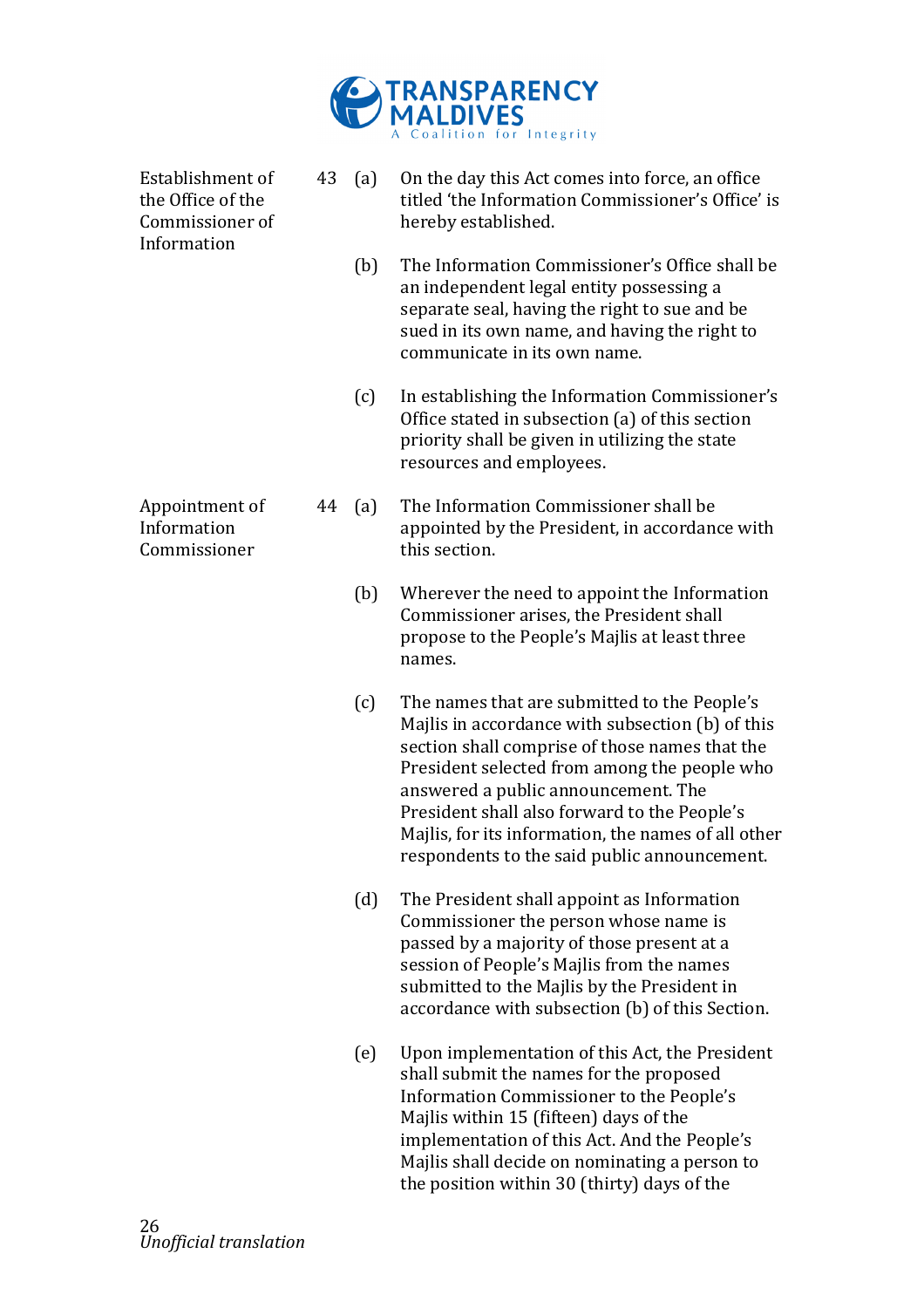

| Establishment of<br>the Office of the<br>Commissioner of<br>Information | 43 | (a) | On the day this Act comes into force, an office<br>titled 'the Information Commissioner's Office' is<br>hereby established.                                                                                                                                                                                                                                                                      |
|-------------------------------------------------------------------------|----|-----|--------------------------------------------------------------------------------------------------------------------------------------------------------------------------------------------------------------------------------------------------------------------------------------------------------------------------------------------------------------------------------------------------|
|                                                                         |    | (b) | The Information Commissioner's Office shall be<br>an independent legal entity possessing a<br>separate seal, having the right to sue and be<br>sued in its own name, and having the right to<br>communicate in its own name.                                                                                                                                                                     |
|                                                                         |    | (c) | In establishing the Information Commissioner's<br>Office stated in subsection (a) of this section<br>priority shall be given in utilizing the state<br>resources and employees.                                                                                                                                                                                                                  |
| Appointment of<br>Information<br>Commissioner                           | 44 | (a) | The Information Commissioner shall be<br>appointed by the President, in accordance with<br>this section.                                                                                                                                                                                                                                                                                         |
|                                                                         |    | (b) | Wherever the need to appoint the Information<br>Commissioner arises, the President shall<br>propose to the People's Majlis at least three<br>names.                                                                                                                                                                                                                                              |
|                                                                         |    | (c) | The names that are submitted to the People's<br>Majlis in accordance with subsection (b) of this<br>section shall comprise of those names that the<br>President selected from among the people who<br>answered a public announcement. The<br>President shall also forward to the People's<br>Majlis, for its information, the names of all other<br>respondents to the said public announcement. |
|                                                                         |    | (d) | The President shall appoint as Information<br>Commissioner the person whose name is<br>passed by a majority of those present at a<br>session of People's Majlis from the names<br>submitted to the Majlis by the President in<br>accordance with subsection (b) of this Section.                                                                                                                 |
|                                                                         |    | (e) | Upon implementation of this Act, the President<br>shall submit the names for the proposed<br>Information Commissioner to the People's<br>Majlis within 15 (fifteen) days of the<br>implementation of this Act. And the People's<br>Majlis shall decide on nominating a person to<br>the position within 30 (thirty) days of the                                                                  |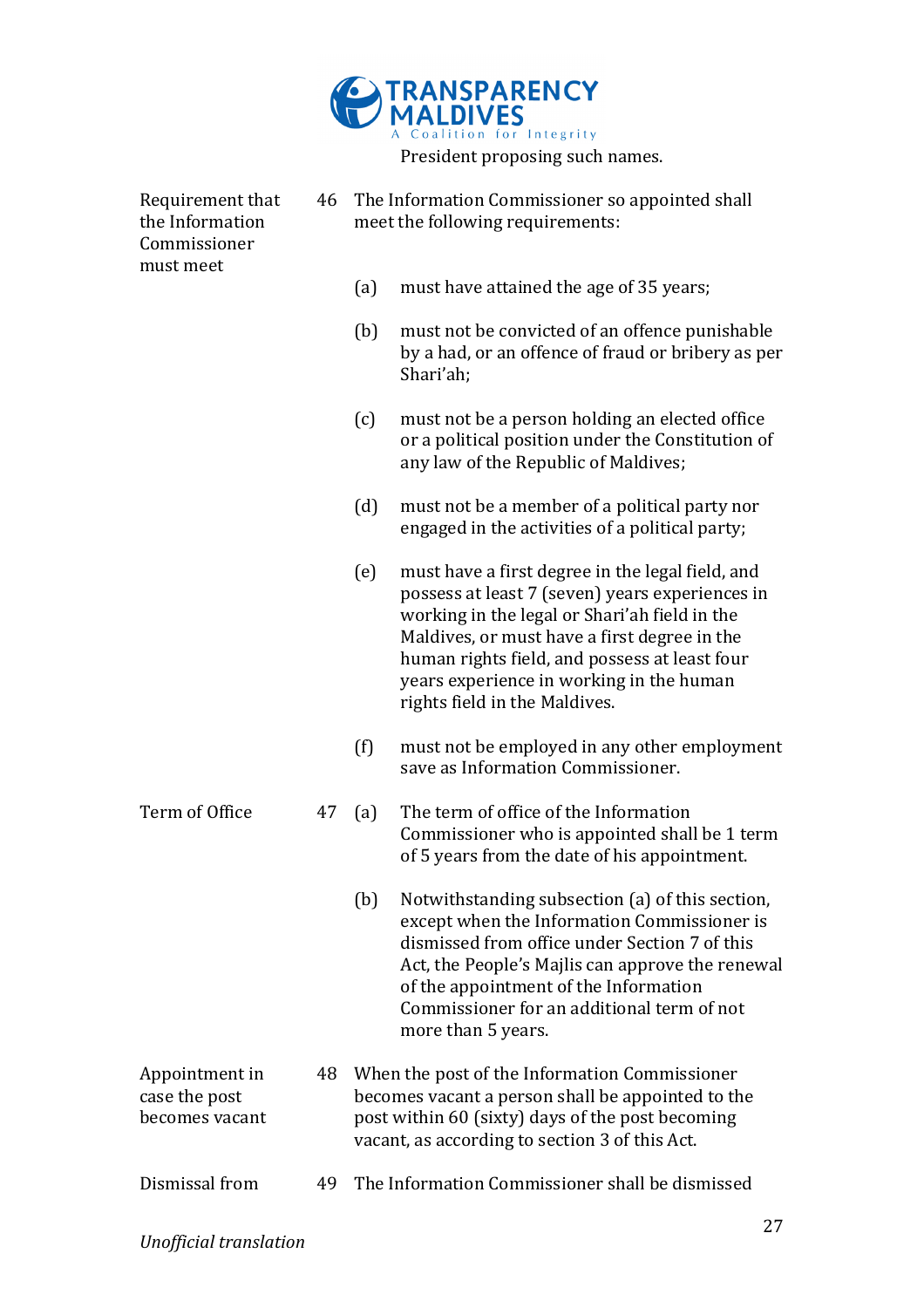

Requirement that the Information Commissioner! must meet 46 The Information Commissioner so appointed shall meet the following requirements: (a) must have attained the age of  $35$  years; (b) must not be convicted of an offence punishable by a had, or an offence of fraud or bribery as per Shari'ah; (c) must not be a person holding an elected office or a political position under the Constitution of any law of the Republic of Maldives; (d) must not be a member of a political party nor engaged in the activities of a political party;  $(e)$  must have a first degree in the legal field, and possess at least 7 (seven) years experiences in working in the legal or Shari'ah field in the Maldives, or must have a first degree in the human rights field, and possess at least four years experience in working in the human rights field in the Maldives.  $(f)$  must not be employed in any other employment save as Information Commissioner. Term of Office 47 (a) The term of office of the Information Commissioner who is appointed shall be 1 term of 5 years from the date of his appointment.  $(b)$  Notwithstanding subsection  $(a)$  of this section. except when the Information Commissioner is dismissed from office under Section 7 of this Act, the People's Majlis can approve the renewal of the appointment of the Information Commissioner for an additional term of not more than 5 years. Appointment in case the post becomes!vacant 48 When the post of the Information Commissioner becomes vacant a person shall be appointed to the post within 60 (sixty) days of the post becoming vacant, as according to section 3 of this Act. Dismissal from 49 The Information Commissioner shall be dismissed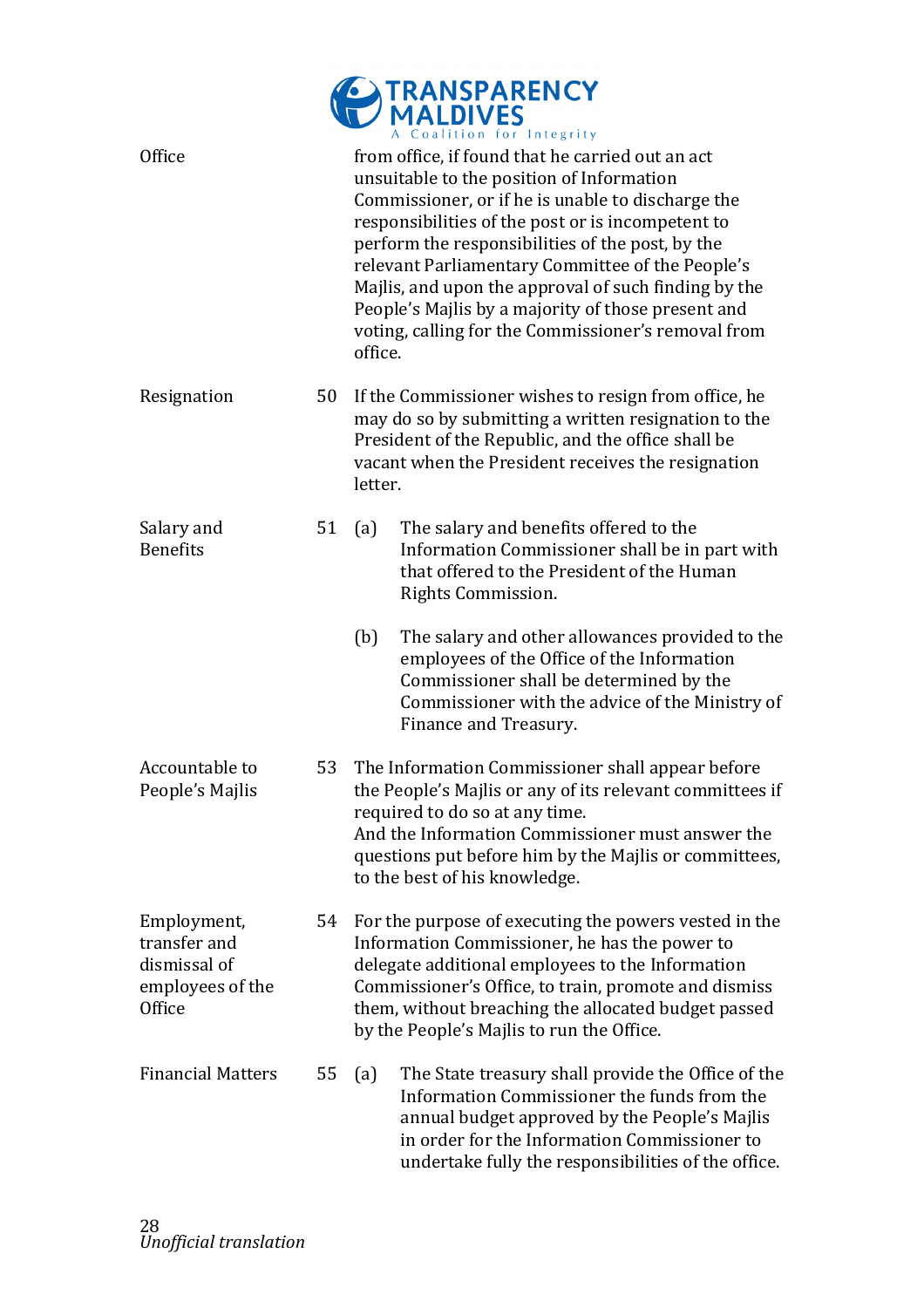|                                                                           |    |         | TRANSPARENCY<br>MALDIVES<br>Coalition for Integrity                                                                                                                                                                                                                                                                                                                                                                                                                                  |
|---------------------------------------------------------------------------|----|---------|--------------------------------------------------------------------------------------------------------------------------------------------------------------------------------------------------------------------------------------------------------------------------------------------------------------------------------------------------------------------------------------------------------------------------------------------------------------------------------------|
| Office                                                                    |    | office. | from office, if found that he carried out an act<br>unsuitable to the position of Information<br>Commissioner, or if he is unable to discharge the<br>responsibilities of the post or is incompetent to<br>perform the responsibilities of the post, by the<br>relevant Parliamentary Committee of the People's<br>Majlis, and upon the approval of such finding by the<br>People's Majlis by a majority of those present and<br>voting, calling for the Commissioner's removal from |
| Resignation                                                               | 50 | letter. | If the Commissioner wishes to resign from office, he<br>may do so by submitting a written resignation to the<br>President of the Republic, and the office shall be<br>vacant when the President receives the resignation                                                                                                                                                                                                                                                             |
| Salary and<br><b>Benefits</b>                                             | 51 | (a)     | The salary and benefits offered to the<br>Information Commissioner shall be in part with<br>that offered to the President of the Human<br>Rights Commission.                                                                                                                                                                                                                                                                                                                         |
|                                                                           |    | (b)     | The salary and other allowances provided to the<br>employees of the Office of the Information<br>Commissioner shall be determined by the<br>Commissioner with the advice of the Ministry of<br>Finance and Treasury.                                                                                                                                                                                                                                                                 |
| Accountable to<br>People's Majlis                                         | 53 |         | The Information Commissioner shall appear before<br>the People's Majlis or any of its relevant committees if<br>required to do so at any time.<br>And the Information Commissioner must answer the<br>questions put before him by the Majlis or committees,<br>to the best of his knowledge.                                                                                                                                                                                         |
| Employment,<br>transfer and<br>dismissal of<br>employees of the<br>Office | 54 |         | For the purpose of executing the powers vested in the<br>Information Commissioner, he has the power to<br>delegate additional employees to the Information<br>Commissioner's Office, to train, promote and dismiss<br>them, without breaching the allocated budget passed<br>by the People's Majlis to run the Office.                                                                                                                                                               |
| <b>Financial Matters</b>                                                  | 55 | (a)     | The State treasury shall provide the Office of the<br>Information Commissioner the funds from the<br>annual budget approved by the People's Majlis<br>in order for the Information Commissioner to<br>undertake fully the responsibilities of the office.                                                                                                                                                                                                                            |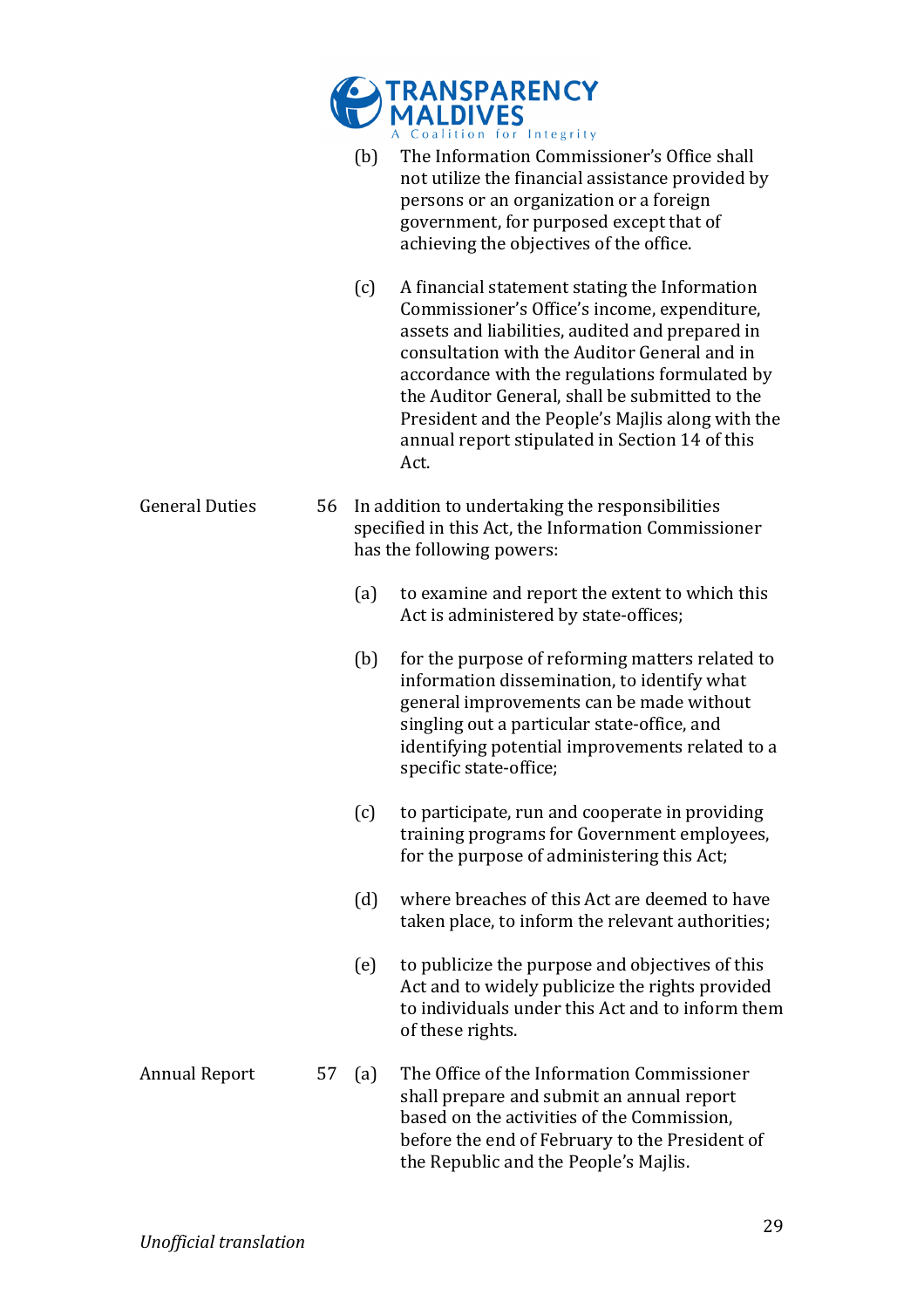|                       |    |                                                                                                                                     | TRANSPARENCY<br>MALDIVES                                                                                                                                                                                                                                                                                                                                                                                          |  |
|-----------------------|----|-------------------------------------------------------------------------------------------------------------------------------------|-------------------------------------------------------------------------------------------------------------------------------------------------------------------------------------------------------------------------------------------------------------------------------------------------------------------------------------------------------------------------------------------------------------------|--|
|                       |    | (b)                                                                                                                                 | Coalition for Integrity<br>The Information Commissioner's Office shall<br>not utilize the financial assistance provided by<br>persons or an organization or a foreign<br>government, for purposed except that of<br>achieving the objectives of the office.                                                                                                                                                       |  |
|                       |    | (c)                                                                                                                                 | A financial statement stating the Information<br>Commissioner's Office's income, expenditure,<br>assets and liabilities, audited and prepared in<br>consultation with the Auditor General and in<br>accordance with the regulations formulated by<br>the Auditor General, shall be submitted to the<br>President and the People's Majlis along with the<br>annual report stipulated in Section 14 of this<br>Act. |  |
| <b>General Duties</b> | 56 | In addition to undertaking the responsibilities<br>specified in this Act, the Information Commissioner<br>has the following powers: |                                                                                                                                                                                                                                                                                                                                                                                                                   |  |
|                       |    | (a)                                                                                                                                 | to examine and report the extent to which this<br>Act is administered by state-offices;                                                                                                                                                                                                                                                                                                                           |  |
|                       |    | (b)                                                                                                                                 | for the purpose of reforming matters related to<br>information dissemination, to identify what<br>general improvements can be made without<br>singling out a particular state-office, and<br>identifying potential improvements related to a<br>specific state-office;                                                                                                                                            |  |
|                       |    | (c)                                                                                                                                 | to participate, run and cooperate in providing<br>training programs for Government employees,<br>for the purpose of administering this Act;                                                                                                                                                                                                                                                                       |  |
|                       |    | (d)                                                                                                                                 | where breaches of this Act are deemed to have<br>taken place, to inform the relevant authorities;                                                                                                                                                                                                                                                                                                                 |  |
|                       |    | (e)                                                                                                                                 | to publicize the purpose and objectives of this<br>Act and to widely publicize the rights provided<br>to individuals under this Act and to inform them<br>of these rights.                                                                                                                                                                                                                                        |  |
| <b>Annual Report</b>  | 57 | (a)                                                                                                                                 | The Office of the Information Commissioner<br>shall prepare and submit an annual report<br>based on the activities of the Commission,<br>before the end of February to the President of<br>the Republic and the People's Majlis.                                                                                                                                                                                  |  |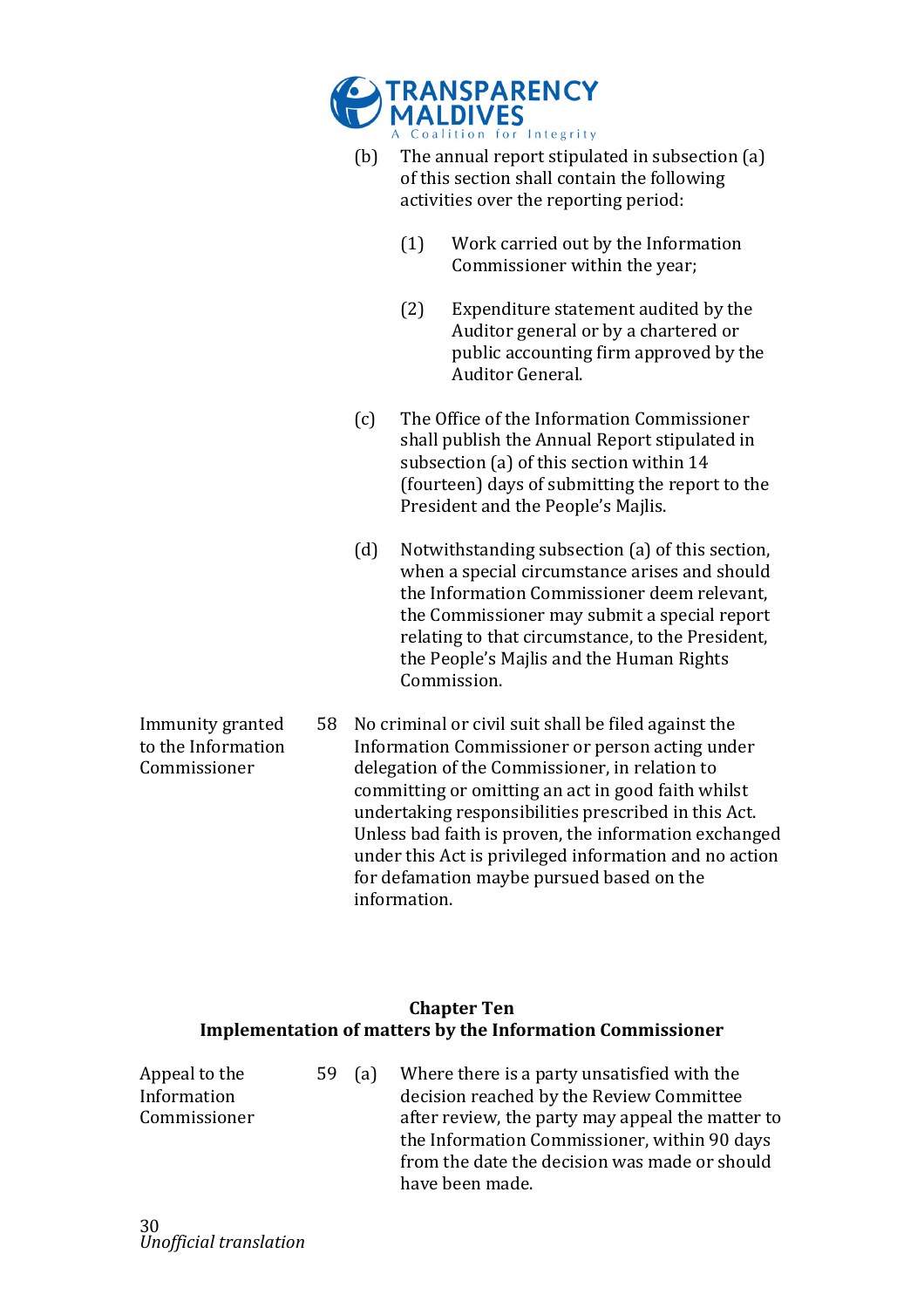

- (b) The annual report stipulated in subsection  $(a)$ of this section shall contain the following activities over the reporting period:
	- $(1)$  Work carried out by the Information Commissioner within the year;
	- (2) Expenditure statement audited by the Auditor general or by a chartered or public accounting firm approved by the Auditor General.
- (c) The Office of the Information Commissioner shall publish the Annual Report stipulated in subsection (a) of this section within 14 (fourteen) days of submitting the report to the President and the People's Majlis.
- (d) Notwithstanding subsection (a) of this section, when a special circumstance arises and should the Information Commissioner deem relevant. the Commissioner may submit a special report relating to that circumstance, to the President, the People's Majlis and the Human Rights Commission.
- Immunity granted to the Information Commissioner 58 No criminal or civil suit shall be filed against the Information Commissioner or person acting under delegation of the Commissioner, in relation to committing or omitting an act in good faith whilst undertaking responsibilities prescribed in this Act. Unless bad faith is proven, the information exchanged under this Act is privileged information and no action for defamation maybe pursued based on the information.

## **Chapter Ten Implementation of matters by the Information Commissioner**

Appeal to the Information! Commissioner 59 (a) Where there is a party unsatisfied with the decision reached by the Review Committee after review, the party may appeal the matter to the Information Commissioner, within 90 days from the date the decision was made or should have!been!made.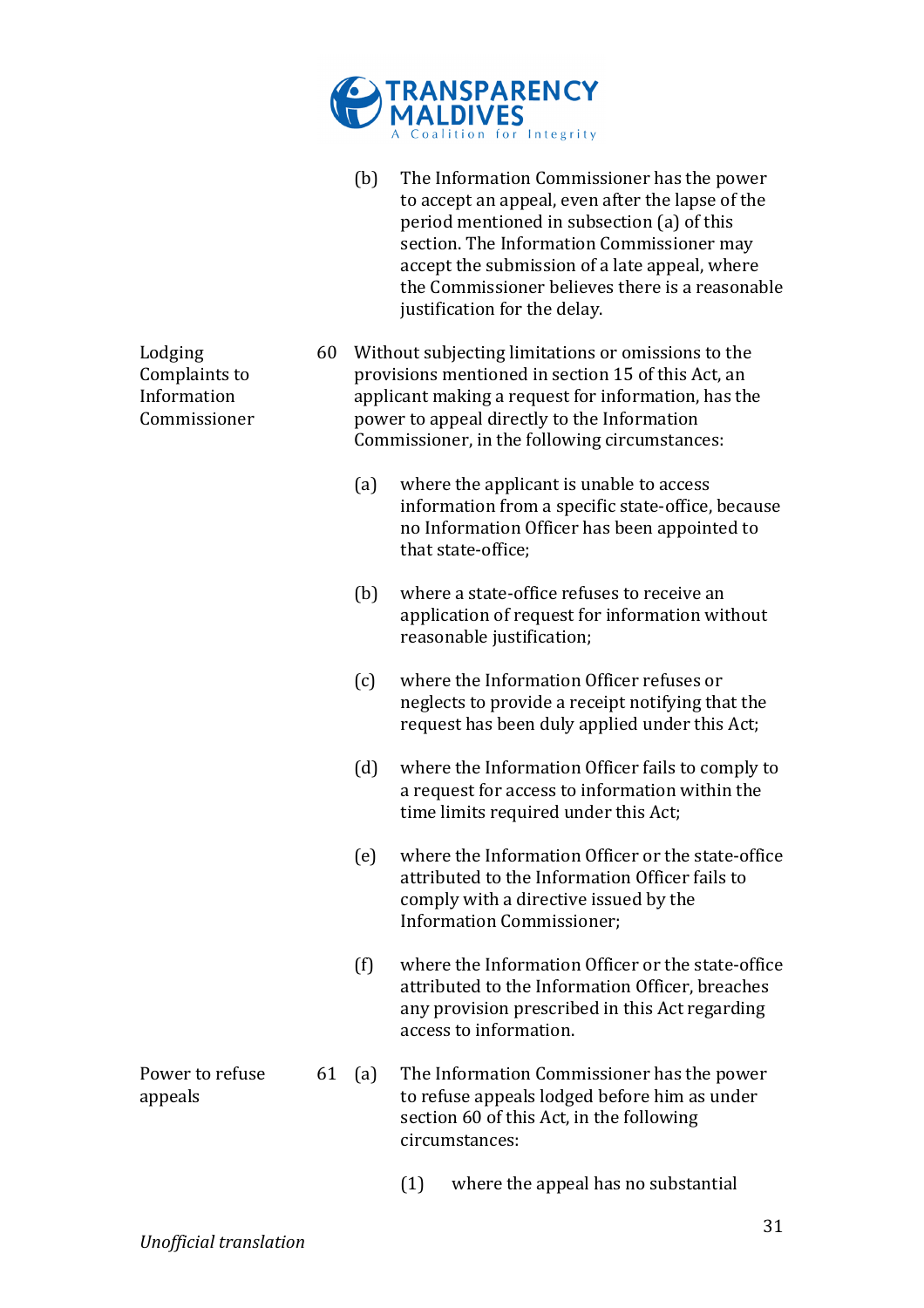

|                                                         |    | (b) | The Information Commissioner has the power<br>to accept an appeal, even after the lapse of the<br>period mentioned in subsection (a) of this<br>section. The Information Commissioner may<br>accept the submission of a late appeal, where<br>the Commissioner believes there is a reasonable<br>justification for the delay. |
|---------------------------------------------------------|----|-----|-------------------------------------------------------------------------------------------------------------------------------------------------------------------------------------------------------------------------------------------------------------------------------------------------------------------------------|
| Lodging<br>Complaints to<br>Information<br>Commissioner |    |     | 60 Without subjecting limitations or omissions to the<br>provisions mentioned in section 15 of this Act, an<br>applicant making a request for information, has the<br>power to appeal directly to the Information<br>Commissioner, in the following circumstances:                                                            |
|                                                         |    | (a) | where the applicant is unable to access<br>information from a specific state-office, because<br>no Information Officer has been appointed to<br>that state-office;                                                                                                                                                            |
|                                                         |    | (b) | where a state-office refuses to receive an<br>application of request for information without<br>reasonable justification;                                                                                                                                                                                                     |
|                                                         |    | (c) | where the Information Officer refuses or<br>neglects to provide a receipt notifying that the<br>request has been duly applied under this Act;                                                                                                                                                                                 |
|                                                         |    | (d) | where the Information Officer fails to comply to<br>a request for access to information within the<br>time limits required under this Act;                                                                                                                                                                                    |
|                                                         |    | (e) | where the Information Officer or the state-office<br>attributed to the Information Officer fails to<br>comply with a directive issued by the<br><b>Information Commissioner;</b>                                                                                                                                              |
|                                                         |    | (f) | where the Information Officer or the state-office<br>attributed to the Information Officer, breaches<br>any provision prescribed in this Act regarding<br>access to information.                                                                                                                                              |
| Power to refuse<br>appeals                              | 61 | (a) | The Information Commissioner has the power<br>to refuse appeals lodged before him as under<br>section 60 of this Act, in the following<br>circumstances:                                                                                                                                                                      |
|                                                         |    |     | (1)<br>where the appeal has no substantial                                                                                                                                                                                                                                                                                    |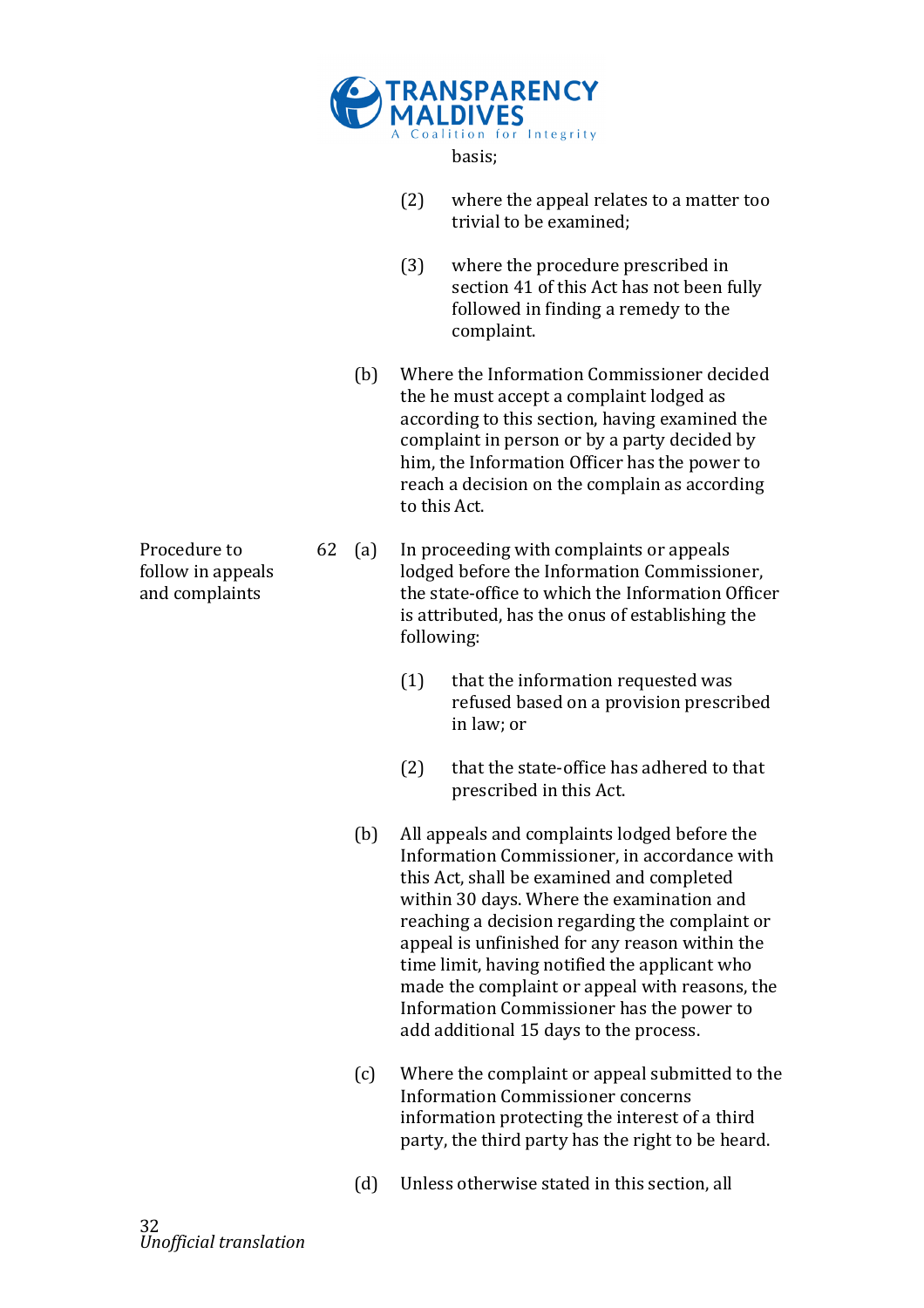

basis;

- $(2)$  where the appeal relates to a matter too trivial to be examined;
- $(3)$  where the procedure prescribed in section 41 of this Act has not been fully followed in finding a remedy to the complaint.
- (b) Where the Information Commissioner decided the he must accept a complaint lodged as according to this section, having examined the complaint in person or by a party decided by him, the Information Officer has the power to reach a decision on the complain as according to this Act.

62 (a) In proceeding with complaints or appeals lodged before the Information Commissioner. the state-office to which the Information Officer is attributed, has the onus of establishing the following:

- $(1)$  that the information requested was refused based on a provision prescribed in law; or
- $(2)$  that the state-office has adhered to that prescribed in this Act.
- (b) All appeals and complaints lodged before the Information Commissioner, in accordance with this Act, shall be examined and completed within 30 days. Where the examination and reaching a decision regarding the complaint or appeal is unfinished for any reason within the time limit, having notified the applicant who made the complaint or appeal with reasons, the Information Commissioner has the power to add additional 15 days to the process.
- $(c)$  Where the complaint or appeal submitted to the Information Commissioner concerns information protecting the interest of a third party, the third party has the right to be heard.
- (d) Unless otherwise stated in this section, all

Procedure to follow in appeals and complaints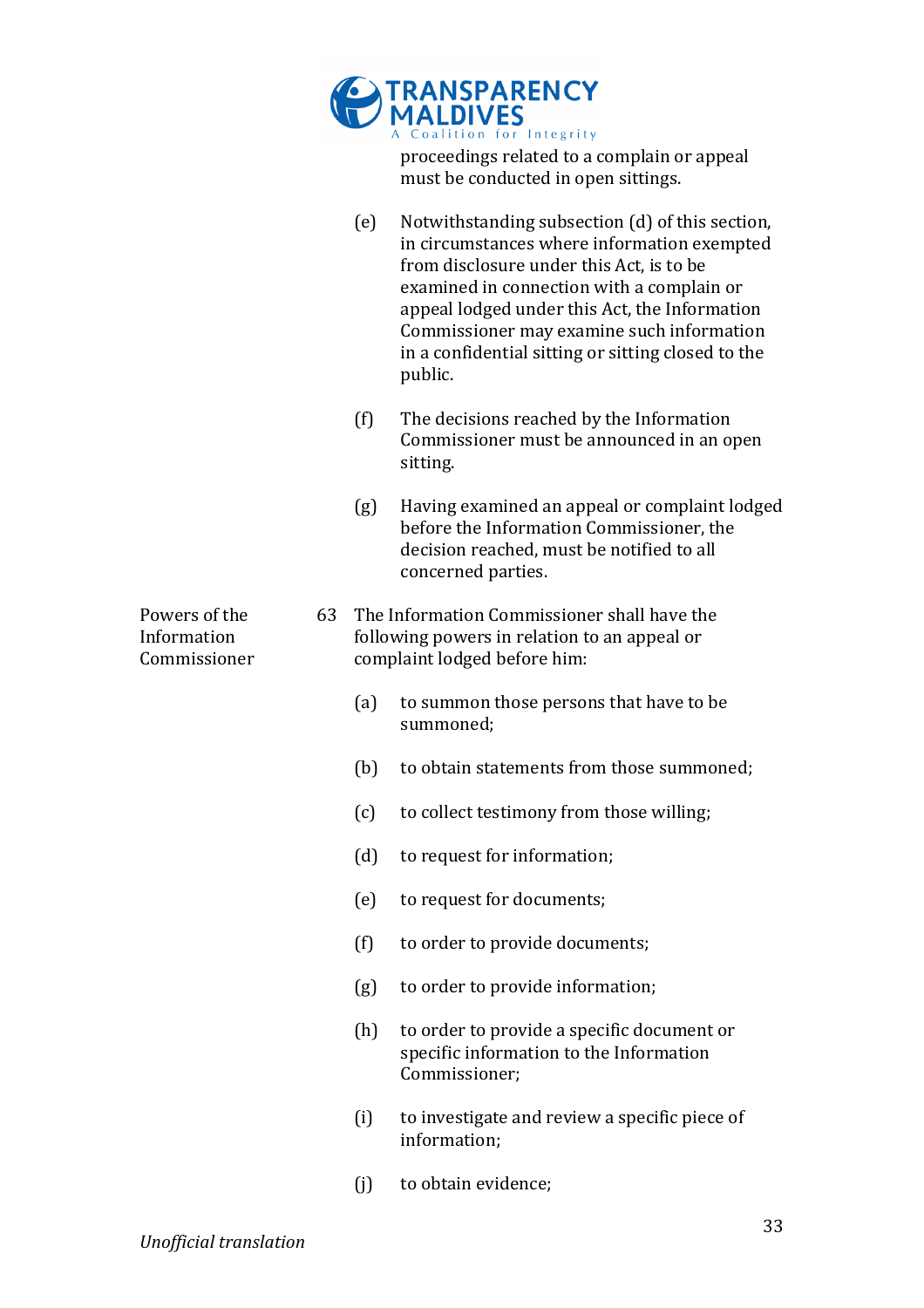|                                              |    |     | <b>TRANSPARENCY</b><br>MALDIVES<br>A Coalition for Integrity                                                                                                                                                                                                                                                                                           |
|----------------------------------------------|----|-----|--------------------------------------------------------------------------------------------------------------------------------------------------------------------------------------------------------------------------------------------------------------------------------------------------------------------------------------------------------|
|                                              |    |     | proceedings related to a complain or appeal<br>must be conducted in open sittings.                                                                                                                                                                                                                                                                     |
|                                              |    | (e) | Notwithstanding subsection (d) of this section,<br>in circumstances where information exempted<br>from disclosure under this Act, is to be<br>examined in connection with a complain or<br>appeal lodged under this Act, the Information<br>Commissioner may examine such information<br>in a confidential sitting or sitting closed to the<br>public. |
|                                              |    | (f) | The decisions reached by the Information<br>Commissioner must be announced in an open<br>sitting.                                                                                                                                                                                                                                                      |
|                                              |    | (g) | Having examined an appeal or complaint lodged<br>before the Information Commissioner, the<br>decision reached, must be notified to all<br>concerned parties.                                                                                                                                                                                           |
| Powers of the<br>Information<br>Commissioner | 63 |     | The Information Commissioner shall have the<br>following powers in relation to an appeal or<br>complaint lodged before him:                                                                                                                                                                                                                            |
|                                              |    | (a) | to summon those persons that have to be<br>summoned;                                                                                                                                                                                                                                                                                                   |
|                                              |    | (b) | to obtain statements from those summoned;                                                                                                                                                                                                                                                                                                              |
|                                              |    | (c) | to collect testimony from those willing;                                                                                                                                                                                                                                                                                                               |
|                                              |    | (d) | to request for information;                                                                                                                                                                                                                                                                                                                            |
|                                              |    | (e) | to request for documents;                                                                                                                                                                                                                                                                                                                              |
|                                              |    | (f) | to order to provide documents;                                                                                                                                                                                                                                                                                                                         |
|                                              |    | (g) | to order to provide information;                                                                                                                                                                                                                                                                                                                       |
|                                              |    | (h) | to order to provide a specific document or<br>specific information to the Information<br>Commissioner;                                                                                                                                                                                                                                                 |
|                                              |    | (i) | to investigate and review a specific piece of<br>information;                                                                                                                                                                                                                                                                                          |
|                                              |    | (i) | to obtain evidence;                                                                                                                                                                                                                                                                                                                                    |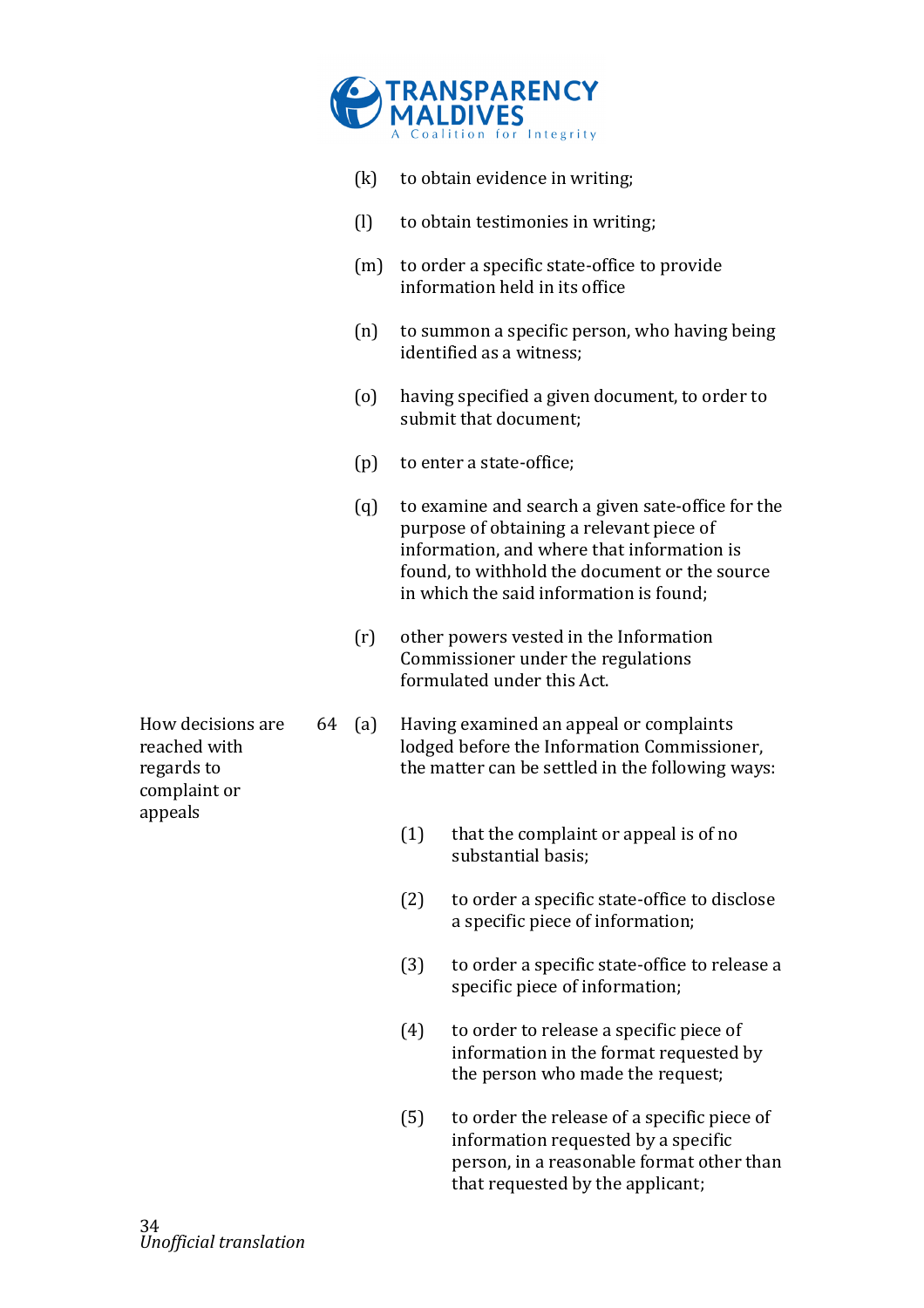

- $(k)$  to obtain evidence in writing;
- $(l)$  to obtain testimonies in writing;
- $(m)$  to order a specific state-office to provide information held in its office
- (n) to summon a specific person, who having being identified as a witness:
- (o) having specified a given document, to order to submit that document;
- $(p)$  to enter a state-office;
- (q) to examine and search a given sate-office for the purpose of obtaining a relevant piece of information, and where that information is found, to withhold the document or the source. in which the said information is found;
- $(r)$  other powers vested in the Information Commissioner under the regulations formulated under this Act.
- $64$  (a) Having examined an appeal or complaints lodged before the Information Commissioner, the matter can be settled in the following ways:
	- $(1)$  that the complaint or appeal is of no substantial basis:
	- $(2)$  to order a specific state-office to disclose a specific piece of information;
	- $(3)$  to order a specific state-office to release a specific piece of information;
	- $(4)$  to order to release a specific piece of information in the format requested by the person who made the request;
	- $(5)$  to order the release of a specific piece of information requested by a specific person, in a reasonable format other than that requested by the applicant;

How decisions are reached with regards to complaint or appeals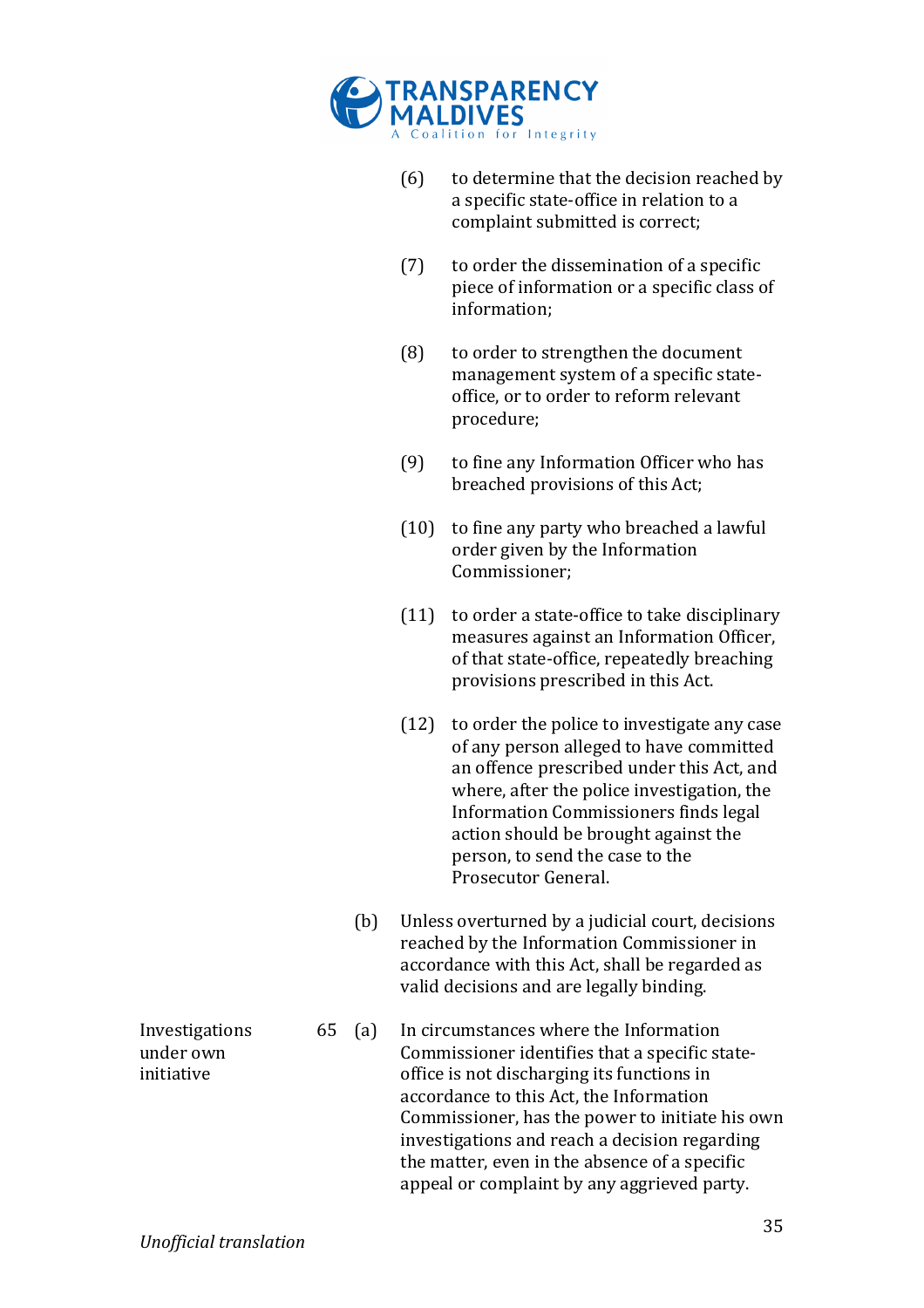

- $(6)$  to determine that the decision reached by a specific state-office in relation to a complaint submitted is correct;
- $(7)$  to order the dissemination of a specific piece of information or a specific class of information;
- $(8)$  to order to strengthen the document management system of a specific stateoffice, or to order to reform relevant procedure;
- $(9)$  to fine any Information Officer who has breached provisions of this Act;
- $(10)$  to fine any party who breached a lawful order given by the Information Commissioner;
- $(11)$  to order a state-office to take disciplinary measures against an Information Officer. of that state-office, repeatedly breaching provisions prescribed in this Act.
- $(12)$  to order the police to investigate any case of any person alleged to have committed an offence prescribed under this Act, and where, after the police investigation, the Information Commissioners finds legal action should be brought against the person, to send the case to the Prosecutor General.
- (b) Unless overturned by a judicial court, decisions reached by the Information Commissioner in accordance with this Act, shall be regarded as valid decisions and are legally binding.
- $65$  (a) In circumstances where the Information Commissioner identifies that a specific stateoffice is not discharging its functions in accordance to this Act, the Information Commissioner, has the power to initiate his own investigations and reach a decision regarding the matter, even in the absence of a specific appeal or complaint by any aggrieved party.

**Investigations** under!own! initiative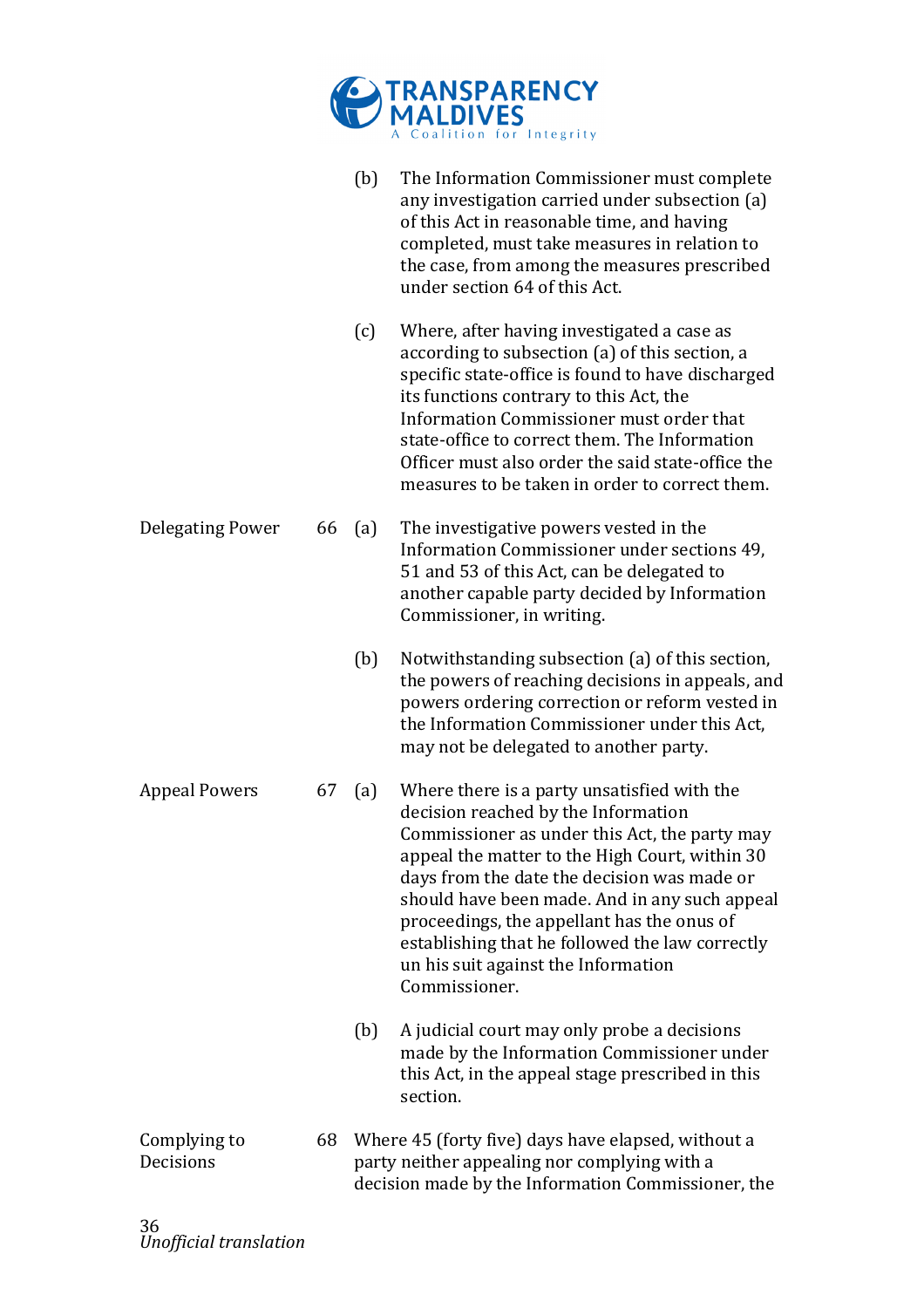

|                           |    | (b) | The Information Commissioner must complete<br>any investigation carried under subsection (a)<br>of this Act in reasonable time, and having<br>completed, must take measures in relation to<br>the case, from among the measures prescribed<br>under section 64 of this Act.                                                                                                                                                                    |
|---------------------------|----|-----|------------------------------------------------------------------------------------------------------------------------------------------------------------------------------------------------------------------------------------------------------------------------------------------------------------------------------------------------------------------------------------------------------------------------------------------------|
|                           |    | (c) | Where, after having investigated a case as<br>according to subsection (a) of this section, a<br>specific state-office is found to have discharged<br>its functions contrary to this Act, the<br>Information Commissioner must order that<br>state-office to correct them. The Information<br>Officer must also order the said state-office the<br>measures to be taken in order to correct them.                                               |
| <b>Delegating Power</b>   | 66 | (a) | The investigative powers vested in the<br>Information Commissioner under sections 49,<br>51 and 53 of this Act, can be delegated to<br>another capable party decided by Information<br>Commissioner, in writing.                                                                                                                                                                                                                               |
|                           |    | (b) | Notwithstanding subsection (a) of this section,<br>the powers of reaching decisions in appeals, and<br>powers ordering correction or reform vested in<br>the Information Commissioner under this Act,<br>may not be delegated to another party.                                                                                                                                                                                                |
| <b>Appeal Powers</b>      | 67 | (a) | Where there is a party unsatisfied with the<br>decision reached by the Information<br>Commissioner as under this Act, the party may<br>appeal the matter to the High Court, within 30<br>days from the date the decision was made or<br>should have been made. And in any such appeal<br>proceedings, the appellant has the onus of<br>establishing that he followed the law correctly<br>un his suit against the Information<br>Commissioner. |
|                           |    | (b) | A judicial court may only probe a decisions<br>made by the Information Commissioner under<br>this Act, in the appeal stage prescribed in this<br>section.                                                                                                                                                                                                                                                                                      |
| Complying to<br>Decisions | 68 |     | Where 45 (forty five) days have elapsed, without a<br>party neither appealing nor complying with a<br>decision made by the Information Commissioner, the                                                                                                                                                                                                                                                                                       |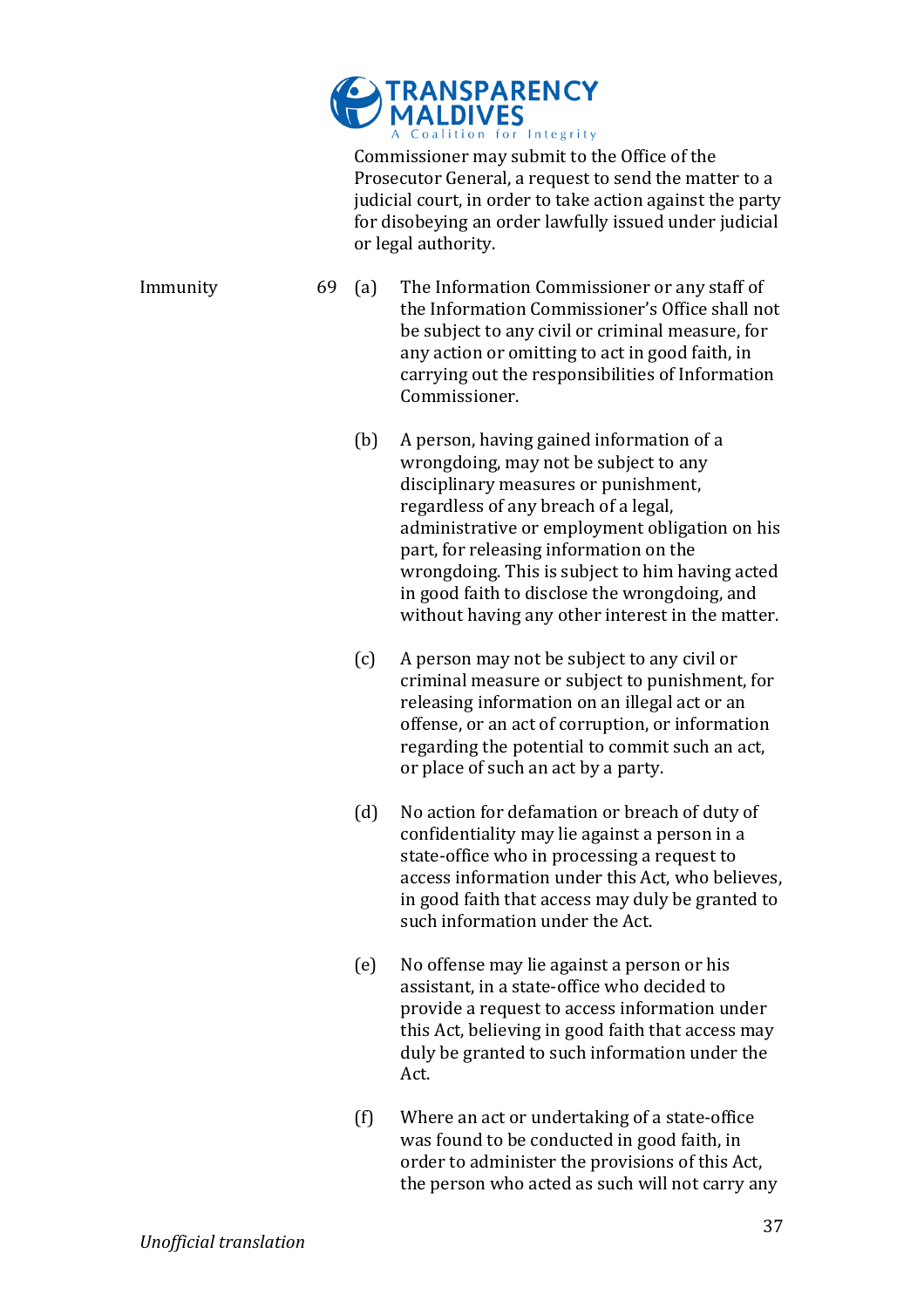

Commissioner may submit to the Office of the Prosecutor General, a request to send the matter to a judicial court, in order to take action against the party for disobeying an order lawfully issued under judicial or legal authority.

Immunity 69 (a) The Information Commissioner or any staff of the Information Commissioner's Office shall not be subject to any civil or criminal measure, for any action or omitting to act in good faith, in carrying out the responsibilities of Information Commissioner.

- (b) A person, having gained information of a wrongdoing, may not be subject to any disciplinary measures or punishment, regardless of any breach of a legal, administrative or employment obligation on his part, for releasing information on the wrongdoing. This is subject to him having acted in good faith to disclose the wrongdoing, and without having any other interest in the matter.
- (c) A person may not be subject to any civil or criminal measure or subject to punishment, for releasing information on an illegal act or an offense, or an act of corruption, or information regarding the potential to commit such an act, or place of such an act by a party.
- (d) No action for defamation or breach of duty of confidentiality may lie against a person in a state-office who in processing a request to access information under this Act, who believes, in good faith that access may duly be granted to such information under the Act.
- (e) No offense may lie against a person or his assistant, in a state-office who decided to provide a request to access information under this Act, believing in good faith that access may duly be granted to such information under the Act.
- $(f)$  Where an act or undertaking of a state-office was found to be conducted in good faith, in order to administer the provisions of this Act, the person who acted as such will not carry any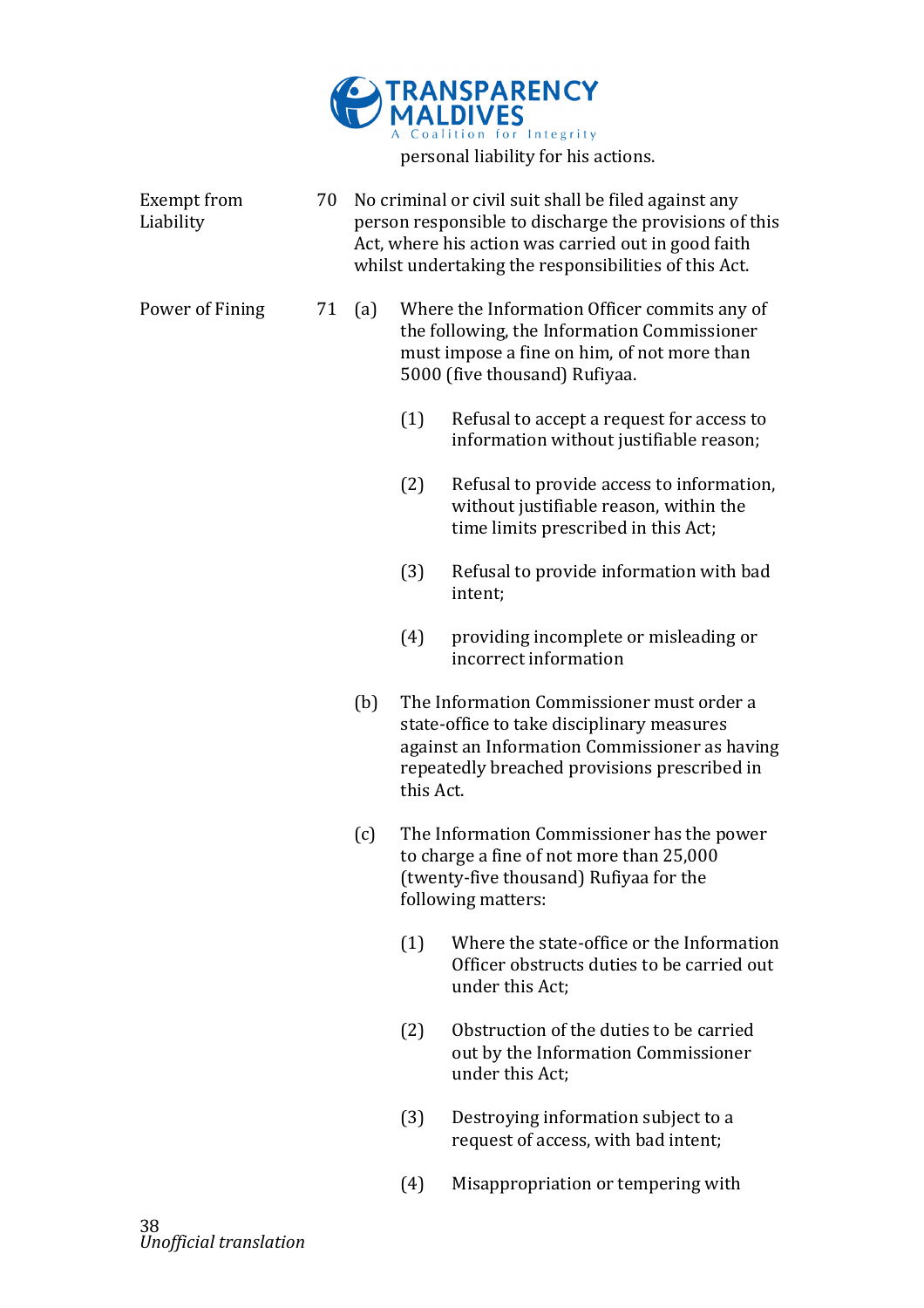

| <b>Exempt from</b><br>Liability | 70 | No criminal or civil suit shall be filed against any<br>person responsible to discharge the provisions of this<br>Act, where his action was carried out in good faith<br>whilst undertaking the responsibilities of this Act. |           |                                                                                                                                                                                          |
|---------------------------------|----|-------------------------------------------------------------------------------------------------------------------------------------------------------------------------------------------------------------------------------|-----------|------------------------------------------------------------------------------------------------------------------------------------------------------------------------------------------|
| Power of Fining                 | 71 | (a)                                                                                                                                                                                                                           |           | Where the Information Officer commits any of<br>the following, the Information Commissioner<br>must impose a fine on him, of not more than<br>5000 (five thousand) Rufiyaa.              |
|                                 |    |                                                                                                                                                                                                                               | (1)       | Refusal to accept a request for access to<br>information without justifiable reason;                                                                                                     |
|                                 |    |                                                                                                                                                                                                                               | (2)       | Refusal to provide access to information,<br>without justifiable reason, within the<br>time limits prescribed in this Act;                                                               |
|                                 |    |                                                                                                                                                                                                                               | (3)       | Refusal to provide information with bad<br>intent;                                                                                                                                       |
|                                 |    |                                                                                                                                                                                                                               | (4)       | providing incomplete or misleading or<br>incorrect information                                                                                                                           |
|                                 |    | (b)                                                                                                                                                                                                                           | this Act. | The Information Commissioner must order a<br>state-office to take disciplinary measures<br>against an Information Commissioner as having<br>repeatedly breached provisions prescribed in |
|                                 |    | (c)                                                                                                                                                                                                                           |           | The Information Commissioner has the power<br>to charge a fine of not more than 25,000<br>(twenty-five thousand) Rufiyaa for the<br>following matters:                                   |
|                                 |    |                                                                                                                                                                                                                               | (1)       | Where the state-office or the Information<br>Officer obstructs duties to be carried out<br>under this Act;                                                                               |
|                                 |    |                                                                                                                                                                                                                               | (2)       | Obstruction of the duties to be carried<br>out by the Information Commissioner<br>under this Act;                                                                                        |
|                                 |    |                                                                                                                                                                                                                               | (3)       | Destroying information subject to a<br>request of access, with bad intent;                                                                                                               |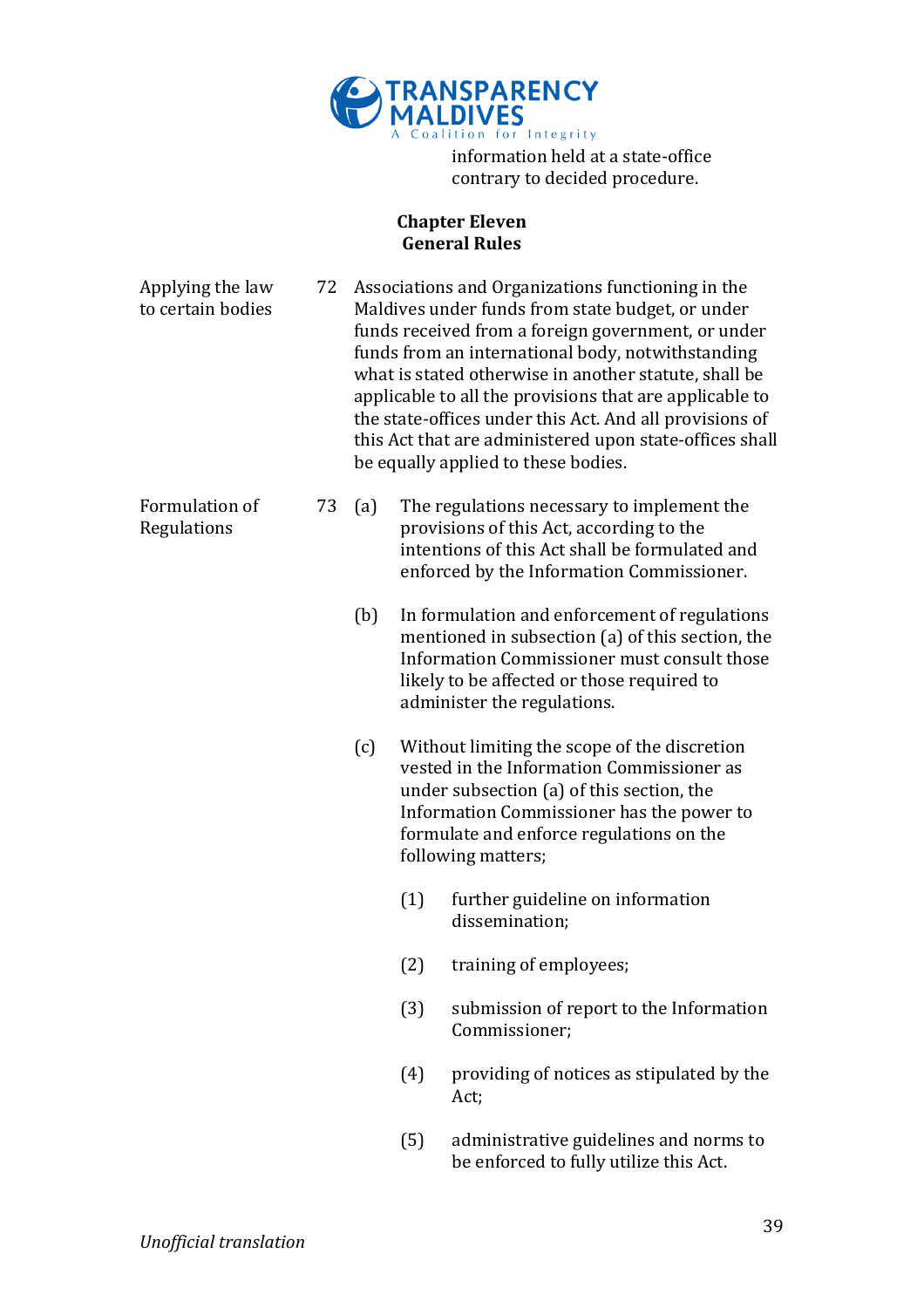

information held at a state-office contrary to decided procedure.

### **Chapter Eleven General Rules**

| Applying the law<br>to certain bodies | 72 | Associations and Organizations functioning in the<br>Maldives under funds from state budget, or under<br>funds received from a foreign government, or under<br>funds from an international body, notwithstanding<br>what is stated otherwise in another statute, shall be<br>applicable to all the provisions that are applicable to<br>the state-offices under this Act. And all provisions of<br>this Act that are administered upon state-offices shall<br>be equally applied to these bodies. |     |                                                                                                                                                                                                                                                       |
|---------------------------------------|----|---------------------------------------------------------------------------------------------------------------------------------------------------------------------------------------------------------------------------------------------------------------------------------------------------------------------------------------------------------------------------------------------------------------------------------------------------------------------------------------------------|-----|-------------------------------------------------------------------------------------------------------------------------------------------------------------------------------------------------------------------------------------------------------|
| Formulation of<br>Regulations         | 73 | (a)                                                                                                                                                                                                                                                                                                                                                                                                                                                                                               |     | The regulations necessary to implement the<br>provisions of this Act, according to the<br>intentions of this Act shall be formulated and<br>enforced by the Information Commissioner.                                                                 |
|                                       |    | (b)                                                                                                                                                                                                                                                                                                                                                                                                                                                                                               |     | In formulation and enforcement of regulations<br>mentioned in subsection (a) of this section, the<br>Information Commissioner must consult those<br>likely to be affected or those required to<br>administer the regulations.                         |
|                                       |    | (c)                                                                                                                                                                                                                                                                                                                                                                                                                                                                                               |     | Without limiting the scope of the discretion<br>vested in the Information Commissioner as<br>under subsection (a) of this section, the<br>Information Commissioner has the power to<br>formulate and enforce regulations on the<br>following matters; |
|                                       |    |                                                                                                                                                                                                                                                                                                                                                                                                                                                                                                   | (1) | further guideline on information<br>dissemination;                                                                                                                                                                                                    |
|                                       |    |                                                                                                                                                                                                                                                                                                                                                                                                                                                                                                   | (2) | training of employees;                                                                                                                                                                                                                                |
|                                       |    |                                                                                                                                                                                                                                                                                                                                                                                                                                                                                                   | (3) | submission of report to the Information<br>Commissioner;                                                                                                                                                                                              |
|                                       |    |                                                                                                                                                                                                                                                                                                                                                                                                                                                                                                   | (4) | providing of notices as stipulated by the<br>Act;                                                                                                                                                                                                     |
|                                       |    |                                                                                                                                                                                                                                                                                                                                                                                                                                                                                                   | (5) | administrative guidelines and norms to<br>be enforced to fully utilize this Act.                                                                                                                                                                      |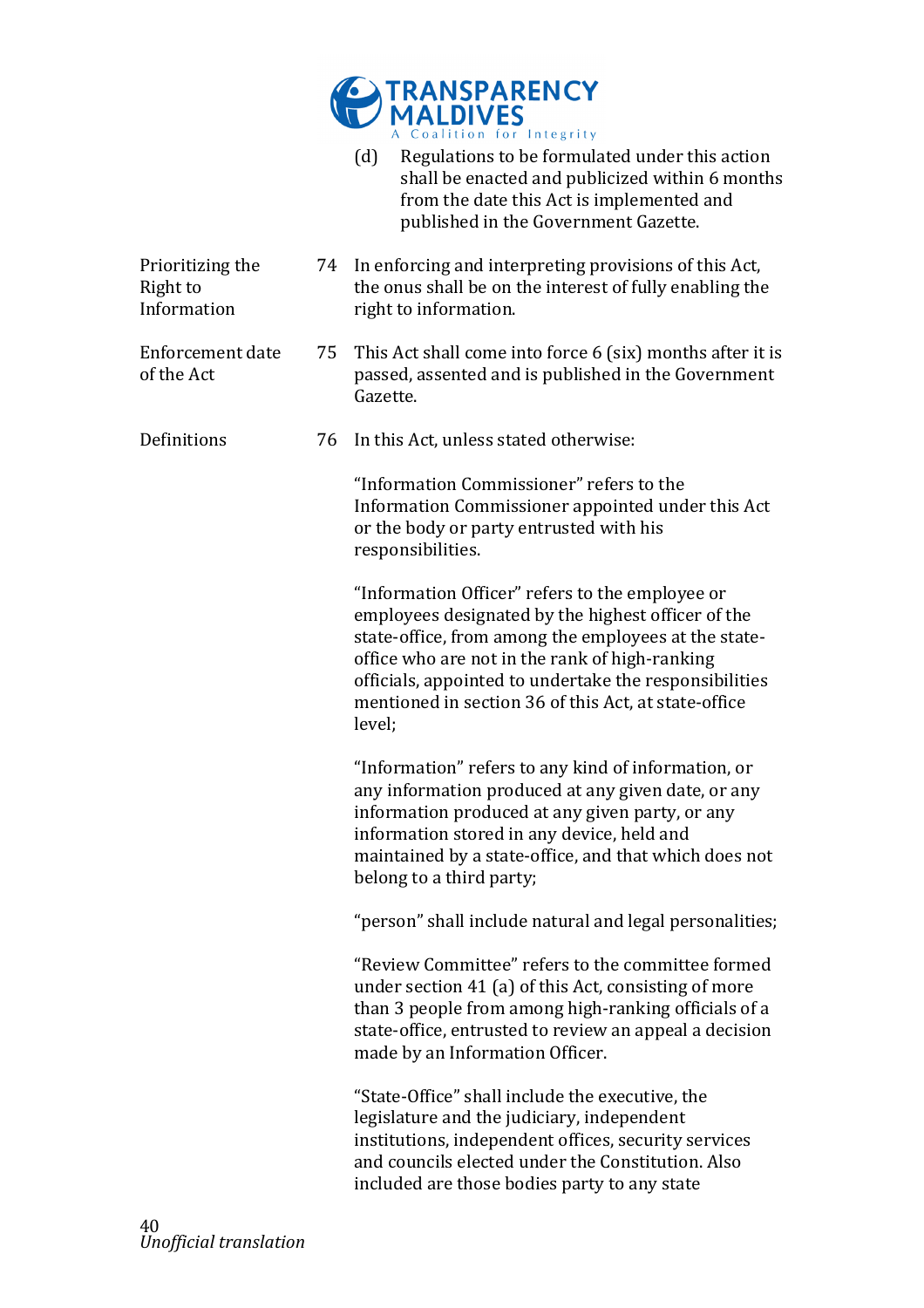

|                                             |    | (d)<br>Regulations to be formulated under this action<br>shall be enacted and publicized within 6 months<br>from the date this Act is implemented and<br>published in the Government Gazette.                                                                                                                                               |
|---------------------------------------------|----|---------------------------------------------------------------------------------------------------------------------------------------------------------------------------------------------------------------------------------------------------------------------------------------------------------------------------------------------|
| Prioritizing the<br>Right to<br>Information | 74 | In enforcing and interpreting provisions of this Act,<br>the onus shall be on the interest of fully enabling the<br>right to information.                                                                                                                                                                                                   |
| Enforcement date<br>of the Act              | 75 | This Act shall come into force 6 (six) months after it is<br>passed, assented and is published in the Government<br>Gazette.                                                                                                                                                                                                                |
| Definitions                                 | 76 | In this Act, unless stated otherwise:                                                                                                                                                                                                                                                                                                       |
|                                             |    | "Information Commissioner" refers to the<br>Information Commissioner appointed under this Act<br>or the body or party entrusted with his<br>responsibilities.                                                                                                                                                                               |
|                                             |    | "Information Officer" refers to the employee or<br>employees designated by the highest officer of the<br>state-office, from among the employees at the state-<br>office who are not in the rank of high-ranking<br>officials, appointed to undertake the responsibilities<br>mentioned in section 36 of this Act, at state-office<br>level; |
|                                             |    | "Information" refers to any kind of information, or<br>any information produced at any given date, or any<br>information produced at any given party, or any<br>information stored in any device, held and<br>maintained by a state-office, and that which does not<br>belong to a third party;                                             |
|                                             |    | "person" shall include natural and legal personalities;                                                                                                                                                                                                                                                                                     |
|                                             |    | "Review Committee" refers to the committee formed<br>under section 41 (a) of this Act, consisting of more<br>than 3 people from among high-ranking officials of a<br>state-office, entrusted to review an appeal a decision<br>made by an Information Officer.                                                                              |
|                                             |    |                                                                                                                                                                                                                                                                                                                                             |

"State-Office" shall include the executive, the legislature and the judiciary, independent institutions, independent offices, security services and councils elected under the Constitution. Also included are those bodies party to any state